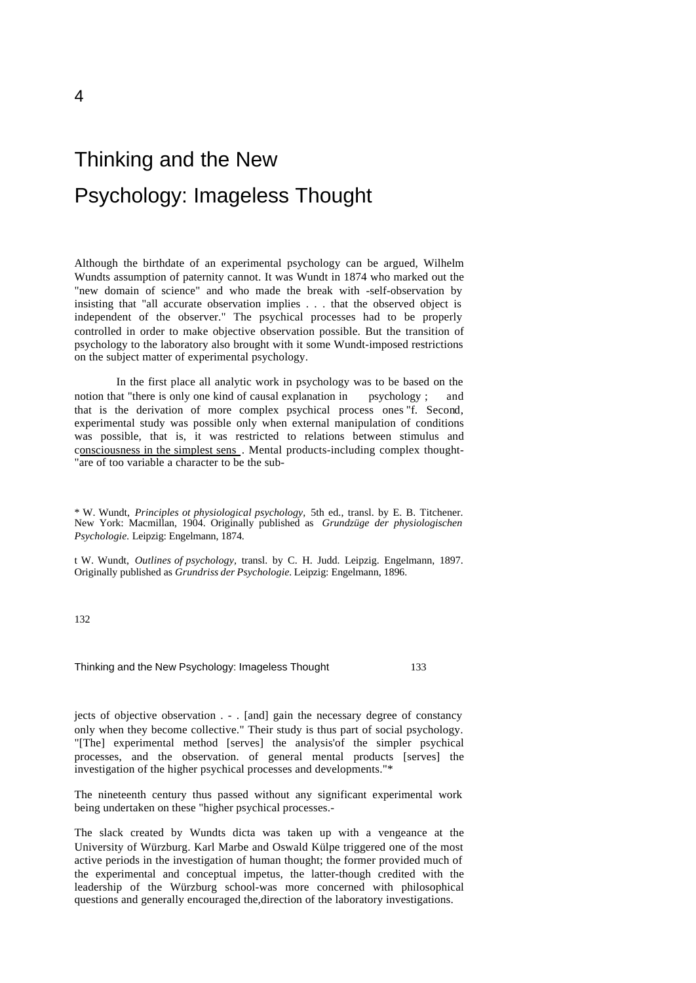# Thinking and the New Psychology: Imageless Thought

Although the birthdate of an experimental psychology can be argued, Wilhelm Wundts assumption of paternity cannot. It was Wundt in 1874 who marked out the "new domain of science" and who made the break with -self-observation by insisting that "all accurate observation implies . . . that the observed object is independent of the observer." The psychical processes had to be properly controlled in order to make objective observation possible. But the transition of psychology to the laboratory also brought with it some Wundt-imposed restrictions on the subject matter of experimental psychology.

In the first place all analytic work in psychology was to be based on the notion that "there is only one kind of causal explanation in psychology ; and that is the derivation of more complex psychical process ones "f. Second, experimental study was possible only when external manipulation of conditions was possible, that is, it was restricted to relations between stimulus and consciousness in the simplest sens . Mental products-including complex thought- "are of too variable a character to be the sub-

\* W. Wundt, *Principles ot physiological psychology,* 5th ed., transl. by E. B. Titchener. New York: Macmillan, 1904. Originally published as *Grundzüge der physiologischen Psychologie.* Leipzig: Engelmann, 1874.

t W. Wundt, *Outlines of psychology,* transl. by C. H. Judd. Leipzig. Engelmann, 1897. Originally published as *Grundriss der Psychologie.* Leipzig: Engelmann, 1896.

132

Thinking and the New Psychology: Imageless Thought 133

jects of objective observation . - . [and] gain the necessary degree of constancy only when they become collective." Their study is thus part of social psychology. "[The] experimental method [serves] the analysis'of the simpler psychical processes, and the observation. of general mental products [serves] the investigation of the higher psychical processes and developments."\*

The nineteenth century thus passed without any significant experimental work being undertaken on these "higher psychical processes.-

The slack created by Wundts dicta was taken up with a vengeance at the University of Würzburg. Karl Marbe and Oswald Külpe triggered one of the most active periods in the investigation of human thought; the former provided much of the experimental and conceptual impetus, the latter-though credited with the leadership of the Würzburg school-was more concerned with philosophical questions and generally encouraged the,direction of the laboratory investigations.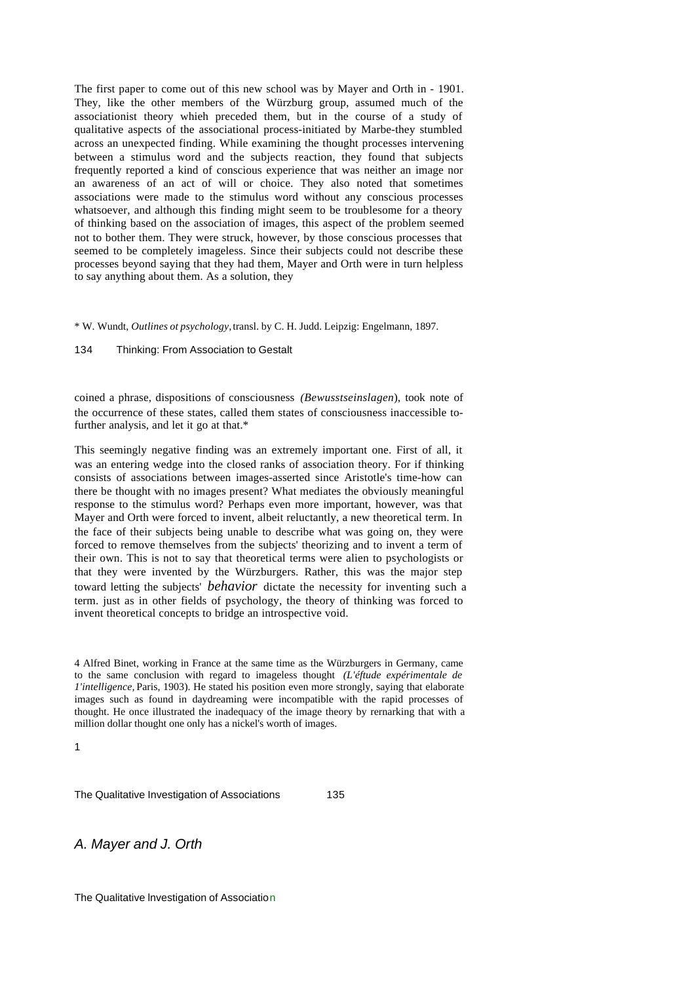The first paper to come out of this new school was by Mayer and Orth in - 1901. They, like the other members of the Würzburg group, assumed much of the associationist theory whieh preceded them, but in the course of a study of qualitative aspects of the associational process-initiated by Marbe-they stumbled across an unexpected finding. While examining the thought processes intervening between a stimulus word and the subjects reaction, they found that subjects frequently reported a kind of conscious experience that was neither an image nor an awareness of an act of will or choice. They also noted that sometimes associations were made to the stimulus word without any conscious processes whatsoever, and although this finding might seem to be troublesome for a theory of thinking based on the association of images, this aspect of the problem seemed not to bother them. They were struck, however, by those conscious processes that seemed to be completely imageless. Since their subjects could not describe these processes beyond saying that they had them, Mayer and Orth were in turn helpless to say anything about them. As a solution, they

\* W. Wundt, *Outlines ot psychology,* transl. by C. H. Judd. Leipzig: Engelmann, 1897.

# 134 Thinking: From Association to Gestalt

coined a phrase, dispositions of consciousness *(Bewusstseinslagen*), took note of the occurrence of these states, called them states of consciousness inaccessible tofurther analysis, and let it go at that.\*

This seemingly negative finding was an extremely important one. First of all, it was an entering wedge into the closed ranks of association theory. For if thinking consists of associations between images-asserted since Aristotle's time-how can there be thought with no images present? What mediates the obviously meaningful response to the stimulus word? Perhaps even more important, however, was that Mayer and Orth were forced to invent, albeit reluctantly, a new theoretical term. In the face of their subjects being unable to describe what was going on, they were forced to remove themselves from the subjects' theorizing and to invent a term of their own. This is not to say that theoretical terms were alien to psychologists or that they were invented by the Würzburgers. Rather, this was the major step toward letting the subjects' *behavior* dictate the necessity for inventing such a term. just as in other fields of psychology, the theory of thinking was forced to invent theoretical concepts to bridge an introspective void.

4 Alfred Binet, working in France at the same time as the Würzburgers in Germany, came to the same conclusion with regard to imageless thought *(L'éftude expérimentale de 1'intelligence,* Paris, 1903). He stated his position even more strongly, saying that elaborate images such as found in daydreaming were incompatible with the rapid processes of thought. He once illustrated the inadequacy of the image theory by rernarking that with a million dollar thought one only has a nickel's worth of images.

1

The Qualitative Investigation of Associations 135

# *A. Mayer and J. Orth*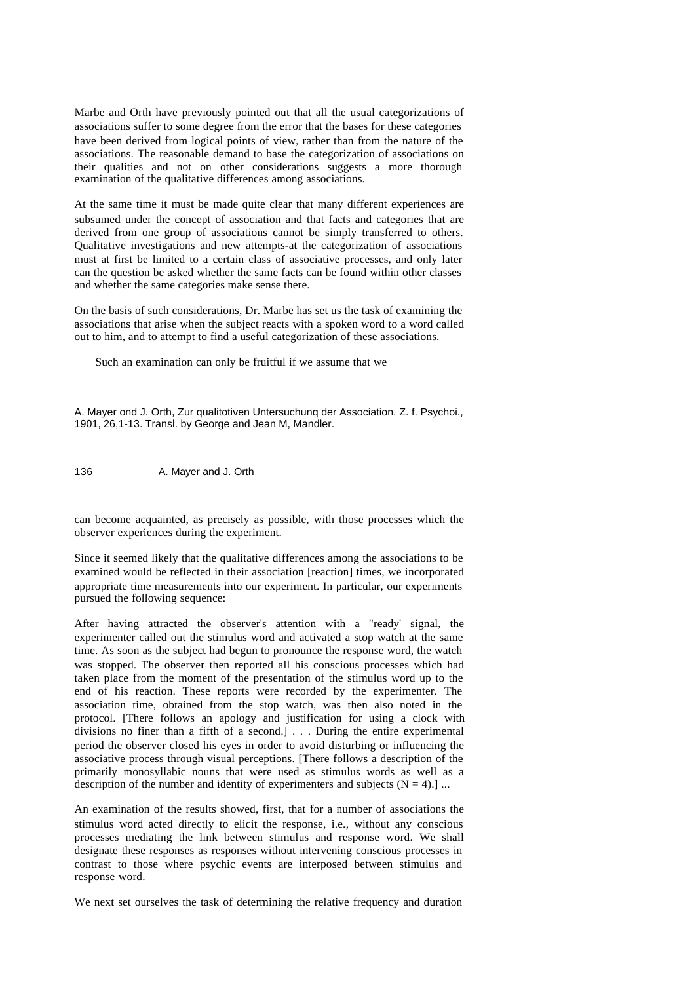Marbe and Orth have previously pointed out that all the usual categorizations of associations suffer to some degree from the error that the bases for these categories have been derived from logical points of view, rather than from the nature of the associations. The reasonable demand to base the categorization of associations on their qualities and not on other considerations suggests a more thorough examination of the qualitative differences among associations.

At the same time it must be made quite clear that many different experiences are subsumed under the concept of association and that facts and categories that are derived from one group of associations cannot be simply transferred to others. Qualitative investigations and new attempts-at the categorization of associations must at first be limited to a certain class of associative processes, and only later can the question be asked whether the same facts can be found within other classes and whether the same categories make sense there.

On the basis of such considerations, Dr. Marbe has set us the task of examining the associations that arise when the subject reacts with a spoken word to a word called out to him, and to attempt to find a useful categorization of these associations.

Such an examination can only be fruitful if we assume that we

A. Mayer ond J. Orth, Zur qualitotiven Untersuchunq der Association. Z. f. Psychoi., 1901, 26,1-13. Transl. by George and Jean M, Mandler.

136 A. Mayer and J. Orth

can become acquainted, as precisely as possible, with those processes which the observer experiences during the experiment.

Since it seemed likely that the qualitative differences among the associations to be examined would be reflected in their association [reaction] times, we incorporated appropriate time measurements into our experiment. In particular, our experiments pursued the following sequence:

After having attracted the observer's attention with a "ready' signal, the experimenter called out the stimulus word and activated a stop watch at the same time. As soon as the subject had begun to pronounce the response word, the watch was stopped. The observer then reported all his conscious processes which had taken place from the moment of the presentation of the stimulus word up to the end of his reaction. These reports were recorded by the experimenter. The association time, obtained from the stop watch, was then also noted in the protocol. [There follows an apology and justification for using a clock with divisions no finer than a fifth of a second.] . . . During the entire experimental period the observer closed his eyes in order to avoid disturbing or influencing the associative process through visual perceptions. [There follows a description of the primarily monosyllabic nouns that were used as stimulus words as well as a description of the number and identity of experimenters and subjects  $(N = 4)$ .] ...

An examination of the results showed, first, that for a number of associations the stimulus word acted directly to elicit the response, i.e., without any conscious processes mediating the link between stimulus and response word. We shall designate these responses as responses without intervening conscious processes in contrast to those where psychic events are interposed between stimulus and response word.

We next set ourselves the task of determining the relative frequency and duration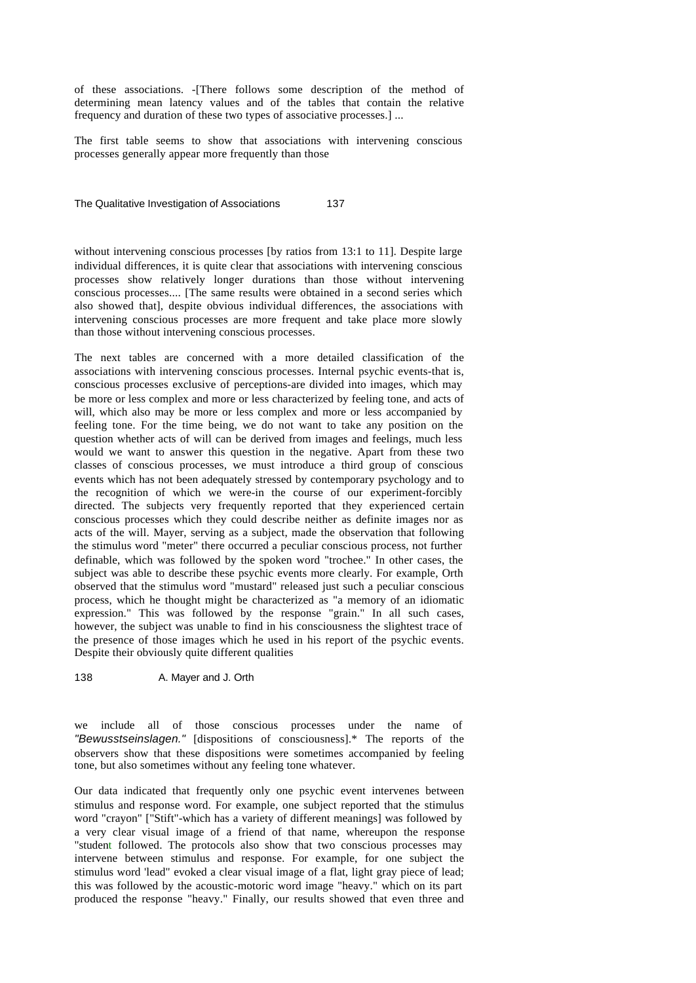of these associations. -[There follows some description of the method of determining mean latency values and of the tables that contain the relative frequency and duration of these two types of associative processes.] ...

The first table seems to show that associations with intervening conscious processes generally appear more frequently than those

# The Qualitative Investigation of Associations 137

without intervening conscious processes [by ratios from 13:1 to 11]. Despite large individual differences, it is quite clear that associations with intervening conscious processes show relatively longer durations than those without intervening conscious processes.... [The same results were obtained in a second series which also showed that], despite obvious individual differences, the associations with intervening conscious processes are more frequent and take place more slowly than those without intervening conscious processes.

The next tables are concerned with a more detailed classification of the associations with intervening conscious processes. Internal psychic events-that is, conscious processes exclusive of perceptions-are divided into images, which may be more or less complex and more or less characterized by feeling tone, and acts of will, which also may be more or less complex and more or less accompanied by feeling tone. For the time being, we do not want to take any position on the question whether acts of will can be derived from images and feelings, much less would we want to answer this question in the negative. Apart from these two classes of conscious processes, we must introduce a third group of conscious events which has not been adequately stressed by contemporary psychology and to the recognition of which we were-in the course of our experiment-forcibly directed. The subjects very frequently reported that they experienced certain conscious processes which they could describe neither as definite images nor as acts of the will. Mayer, serving as a subject, made the observation that following the stimulus word "meter" there occurred a peculiar conscious process, not further definable, which was followed by the spoken word "trochee." In other cases, the subject was able to describe these psychic events more clearly. For example, Orth observed that the stimulus word "mustard" released just such a peculiar conscious process, which he thought might be characterized as "a memory of an idiomatic expression." This was followed by the response "grain." In all such cases, however, the subject was unable to find in his consciousness the slightest trace of the presence of those images which he used in his report of the psychic events. Despite their obviously quite different qualities

# 138 A. Mayer and J. Orth

we include all of those conscious processes under the name of *"Bewusstseinslagen."* [dispositions of consciousness].\* The reports of the observers show that these dispositions were sometimes accompanied by feeling tone, but also sometimes without any feeling tone whatever.

Our data indicated that frequently only one psychic event intervenes between stimulus and response word. For example, one subject reported that the stimulus word "crayon" ["Stift"-which has a variety of different meanings] was followed by a very clear visual image of a friend of that name, whereupon the response "student followed. The protocols also show that two conscious processes may intervene between stimulus and response. For example, for one subject the stimulus word 'lead" evoked a clear visual image of a flat, light gray piece of lead; this was followed by the acoustic-motoric word image "heavy." which on its part produced the response "heavy." Finally, our results showed that even three and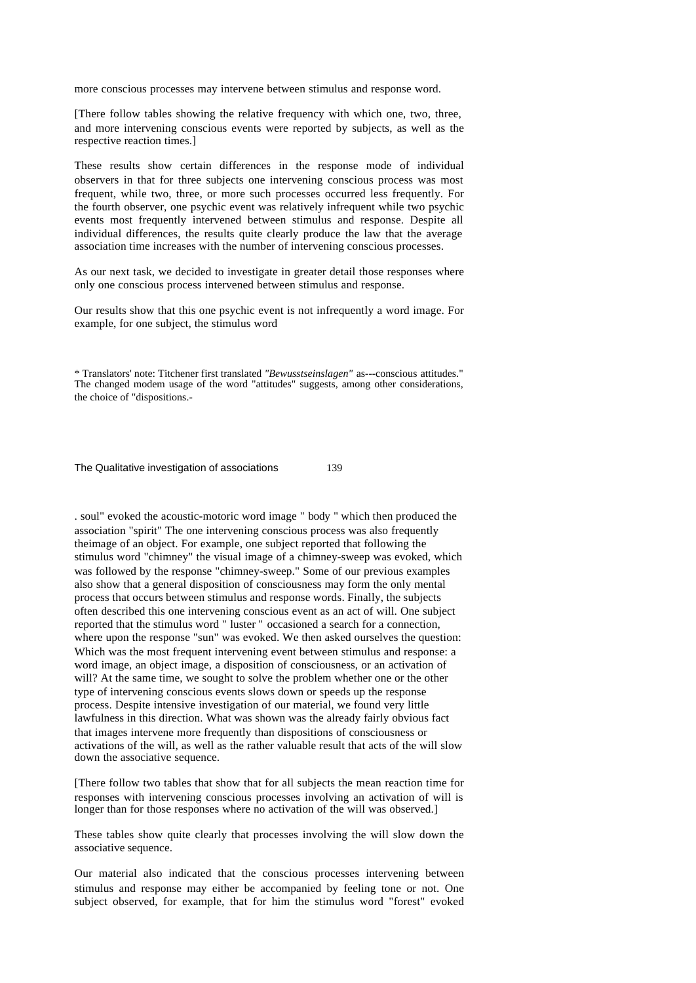more conscious processes may intervene between stimulus and response word.

[There follow tables showing the relative frequency with which one, two, three, and more intervening conscious events were reported by subjects, as well as the respective reaction times.]

These results show certain differences in the response mode of individual observers in that for three subjects one intervening conscious process was most frequent, while two, three, or more such processes occurred less frequently. For the fourth observer, one psychic event was relatively infrequent while two psychic events most frequently intervened between stimulus and response. Despite all individual differences, the results quite clearly produce the law that the average association time increases with the number of intervening conscious processes.

As our next task, we decided to investigate in greater detail those responses where only one conscious process intervened between stimulus and response.

Our results show that this one psychic event is not infrequently a word image. For example, for one subject, the stimulus word

\* Translators' note: Titchener first translated *"Bewusstseinslagen"* as---conscious attitudes." The changed modem usage of the word "attitudes" suggests, among other considerations, the choice of "dispositions.-

The Qualitative investigation of associations 139

. soul" evoked the acoustic-motoric word image " body " which then produced the association "spirit" The one intervening conscious process was also frequently theimage of an object. For example, one subject reported that following the stimulus word "chimney" the visual image of a chimney-sweep was evoked, which was followed by the response "chimney-sweep." Some of our previous examples also show that a general disposition of consciousness may form the only mental process that occurs between stimulus and response words. Finally, the subjects often described this one intervening conscious event as an act of will. One subject reported that the stimulus word " luster " occasioned a search for a connection, where upon the response "sun" was evoked. We then asked ourselves the question: Which was the most frequent intervening event between stimulus and response: a word image, an object image, a disposition of consciousness, or an activation of will? At the same time, we sought to solve the problem whether one or the other type of intervening conscious events slows down or speeds up the response process. Despite intensive investigation of our material, we found very little lawfulness in this direction. What was shown was the already fairly obvious fact that images intervene more frequently than dispositions of consciousness or activations of the will, as well as the rather valuable result that acts of the will slow down the associative sequence.

[There follow two tables that show that for all subjects the mean reaction time for responses with intervening conscious processes involving an activation of will is longer than for those responses where no activation of the will was observed.]

These tables show quite clearly that processes involving the will slow down the associative sequence.

Our material also indicated that the conscious processes intervening between stimulus and response may either be accompanied by feeling tone or not. One subject observed, for example, that for him the stimulus word "forest" evoked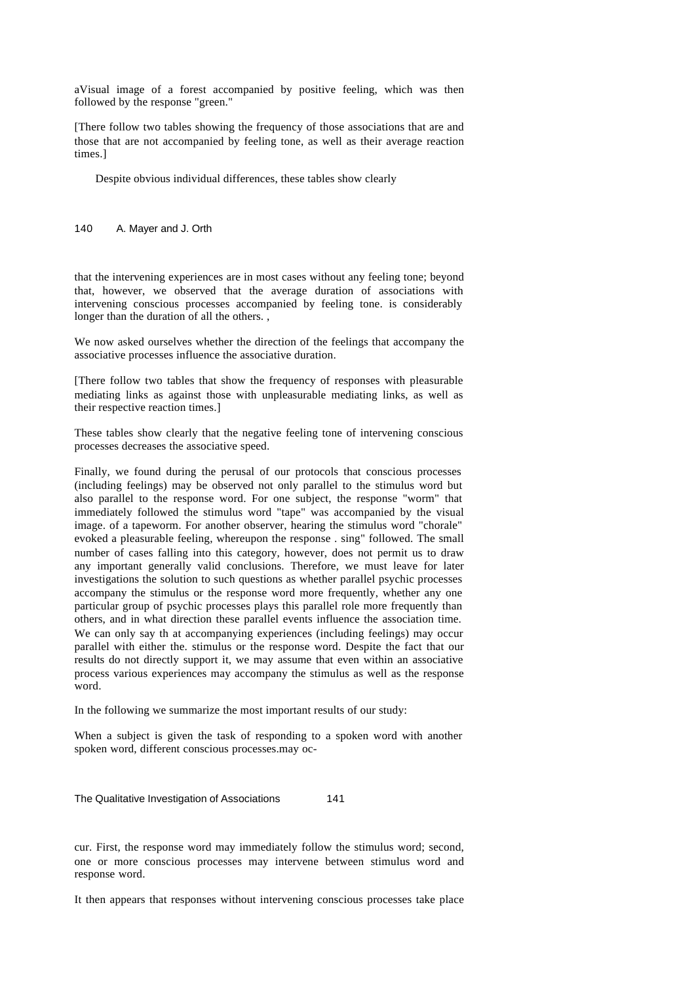aVisual image of a forest accompanied by positive feeling, which was then followed by the response "green."

[There follow two tables showing the frequency of those associations that are and those that are not accompanied by feeling tone, as well as their average reaction times.]

Despite obvious individual differences, these tables show clearly

140 A. Mayer and J. Orth

that the intervening experiences are in most cases without any feeling tone; beyond that, however, we observed that the average duration of associations with intervening conscious processes accompanied by feeling tone. is considerably longer than the duration of all the others.,

We now asked ourselves whether the direction of the feelings that accompany the associative processes influence the associative duration.

[There follow two tables that show the frequency of responses with pleasurable mediating links as against those with unpleasurable mediating links, as well as their respective reaction times.]

These tables show clearly that the negative feeling tone of intervening conscious processes decreases the associative speed.

Finally, we found during the perusal of our protocols that conscious processes (including feelings) may be observed not only parallel to the stimulus word but also parallel to the response word. For one subject, the response "worm" that immediately followed the stimulus word "tape" was accompanied by the visual image. of a tapeworm. For another observer, hearing the stimulus word "chorale" evoked a pleasurable feeling, whereupon the response . sing" followed. The small number of cases falling into this category, however, does not permit us to draw any important generally valid conclusions. Therefore, we must leave for later investigations the solution to such questions as whether parallel psychic processes accompany the stimulus or the response word more frequently, whether any one particular group of psychic processes plays this parallel role more frequently than others, and in what direction these parallel events influence the association time. We can only say th at accompanying experiences (including feelings) may occur parallel with either the. stimulus or the response word. Despite the fact that our results do not directly support it, we may assume that even within an associative process various experiences may accompany the stimulus as well as the response word.

In the following we summarize the most important results of our study:

When a subject is given the task of responding to a spoken word with another spoken word, different conscious processes.may oc-

The Qualitative Investigation of Associations 141

cur. First, the response word may immediately follow the stimulus word; second, one or more conscious processes may intervene between stimulus word and response word.

It then appears that responses without intervening conscious processes take place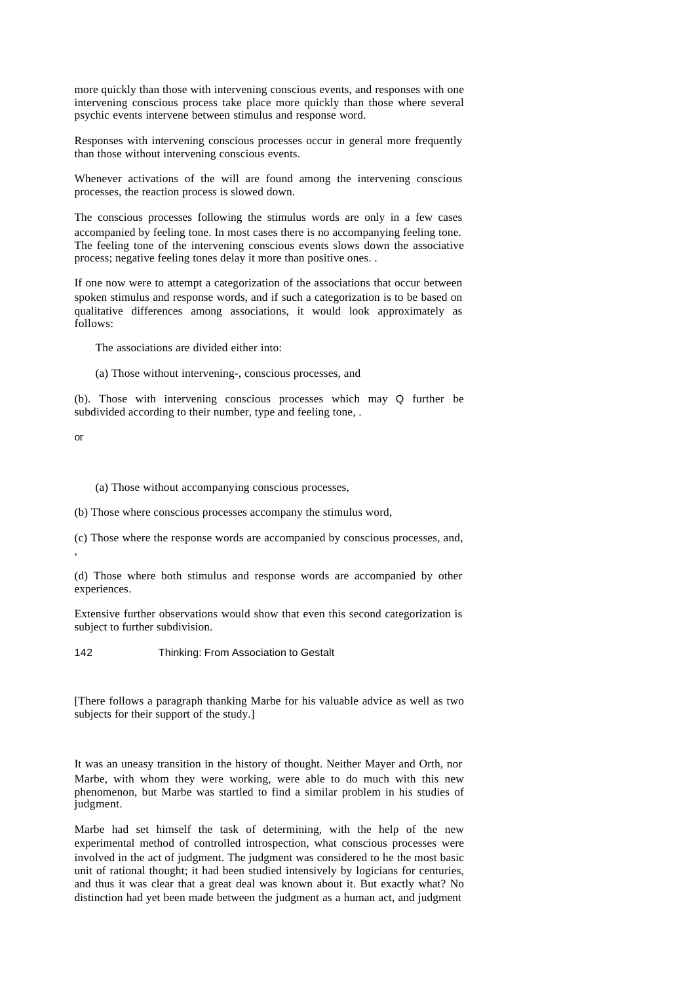more quickly than those with intervening conscious events, and responses with one intervening conscious process take place more quickly than those where several psychic events intervene between stimulus and response word.

Responses with intervening conscious processes occur in general more frequently than those without intervening conscious events.

Whenever activations of the will are found among the intervening conscious processes, the reaction process is slowed down.

The conscious processes following the stimulus words are only in a few cases accompanied by feeling tone. In most cases there is no accompanying feeling tone. The feeling tone of the intervening conscious events slows down the associative process; negative feeling tones delay it more than positive ones. .

If one now were to attempt a categorization of the associations that occur between spoken stimulus and response words, and if such a categorization is to be based on qualitative differences among associations, it would look approximately as follows:

The associations are divided either into:

(a) Those without intervening-, conscious processes, and

(b). Those with intervening conscious processes which may Q further be subdivided according to their number, type and feeling tone, .

or

# (a) Those without accompanying conscious processes,

(b) Those where conscious processes accompany the stimulus word,

(c) Those where the response words are accompanied by conscious processes, and, ,

(d) Those where both stimulus and response words are accompanied by other experiences.

Extensive further observations would show that even this second categorization is subject to further subdivision.

142 Thinking: From Association to Gestalt

[There follows a paragraph thanking Marbe for his valuable advice as well as two subjects for their support of the study.]

It was an uneasy transition in the history of thought. Neither Mayer and Orth, nor Marbe, with whom they were working, were able to do much with this new phenomenon, but Marbe was startled to find a similar problem in his studies of judgment.

Marbe had set himself the task of determining, with the help of the new experimental method of controlled introspection, what conscious processes were involved in the act of judgment. The judgment was considered to he the most basic unit of rational thought; it had been studied intensively by logicians for centuries, and thus it was clear that a great deal was known about it. But exactly what? No distinction had yet been made between the judgment as a human act, and judgment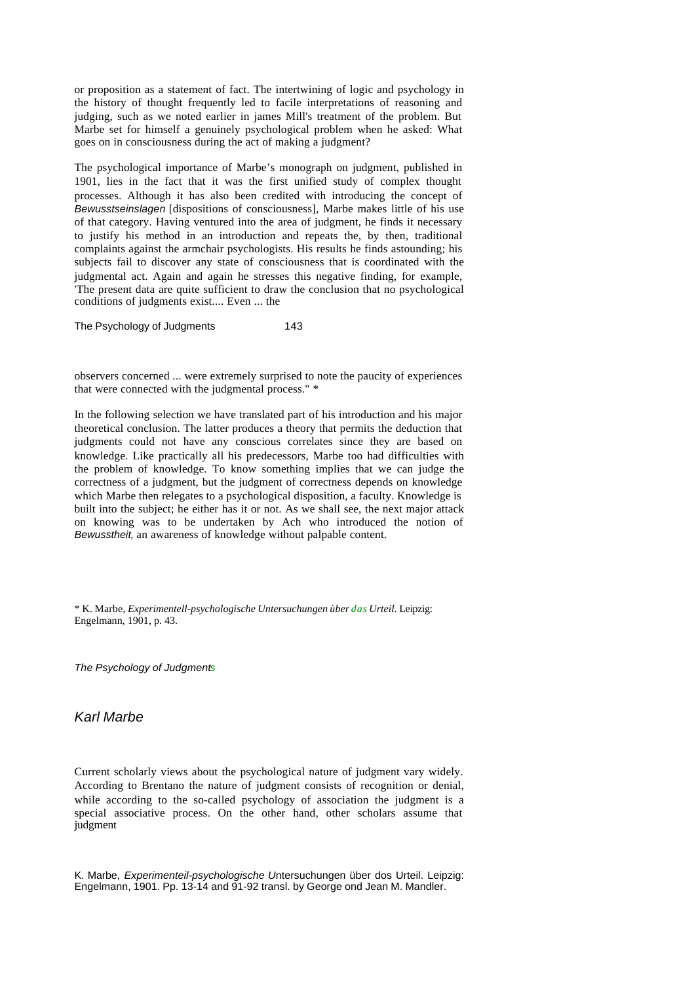or proposition as a statement of fact. The intertwining of logic and psychology in the history of thought frequently led to facile interpretations of reasoning and judging, such as we noted earlier in james Mill's treatment of the problem. But Marbe set for himself a genuinely psychological problem when he asked: What goes on in consciousness during the act of making a judgment?

The psychological importance of Marbe's monograph on judgment, published in 1901, lies in the fact that it was the first unified study of complex thought processes. Although it has also been credited with introducing the concept of *Bewusstseinslagen* [dispositions of consciousness], Marbe makes little of his use of that category. Having ventured into the area of judgment, he finds it necessary to justify his method in an introduction and repeats the, by then, traditional complaints against the armchair psychologists. His results he finds astounding; his subjects fail to discover any state of consciousness that is coordinated with the judgmental act. Again and again he stresses this negative finding, for example, 'The present data are quite sufficient to draw the conclusion that no psychological conditions of judgments exist.... Even ... the

The Psychology of Judgments 143

observers concerned ... were extremely surprised to note the paucity of experiences that were connected with the judgmental process." \*

In the following selection we have translated part of his introduction and his major theoretical conclusion. The latter produces a theory that permits the deduction that judgments could not have any conscious correlates since they are based on knowledge. Like practically all his predecessors, Marbe too had difficulties with the problem of knowledge. To know something implies that we can judge the correctness of a judgment, but the judgment of correctness depends on knowledge which Marbe then relegates to a psychological disposition, a faculty. Knowledge is built into the subject; he either has it or not. As we shall see, the next major attack on knowing was to be undertaken by Ach who introduced the notion of *Bewusstheit,* an awareness of knowledge without palpable content.

\* K. Marbe, *Experimentell-psychologische Untersuchungen ùber das Urteil.* Leipzig: Engelmann, 1901, p. 43.

*The Psychology of Judgments*

# *Karl Marbe*

Current scholarly views about the psychological nature of judgment vary widely. According to Brentano the nature of judgment consists of recognition or denial, while according to the so-called psychology of association the judgment is a special associative process. On the other hand, other scholars assume that judgment

K. Marbe, *Experimenteil-psychologische U*ntersuchungen über dos Urteil. Leipzig: Engelmann, 1901. Pp. 13-14 and 91-92 transl. by George ond Jean M. Mandler.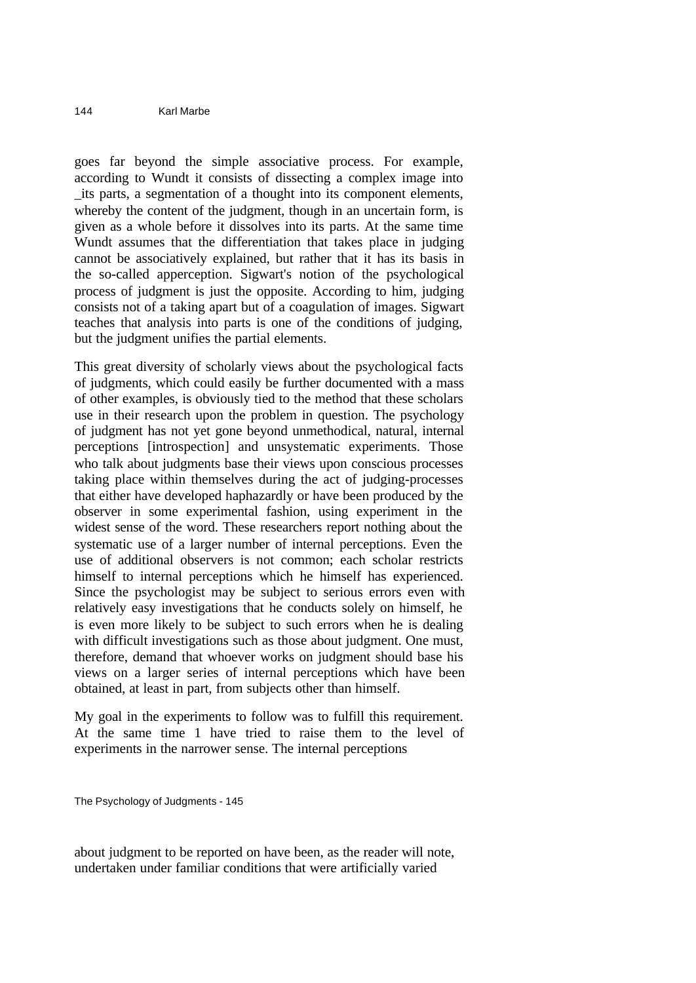goes far beyond the simple associative process. For example, according to Wundt it consists of dissecting a complex image into \_its parts, a segmentation of a thought into its component elements, whereby the content of the judgment, though in an uncertain form, is given as a whole before it dissolves into its parts. At the same time Wundt assumes that the differentiation that takes place in judging cannot be associatively explained, but rather that it has its basis in the so-called apperception. Sigwart's notion of the psychological process of judgment is just the opposite. According to him, judging consists not of a taking apart but of a coagulation of images. Sigwart teaches that analysis into parts is one of the conditions of judging, but the judgment unifies the partial elements.

This great diversity of scholarly views about the psychological facts of judgments, which could easily be further documented with a mass of other examples, is obviously tied to the method that these scholars use in their research upon the problem in question. The psychology of judgment has not yet gone beyond unmethodical, natural, internal perceptions [introspection] and unsystematic experiments. Those who talk about judgments base their views upon conscious processes taking place within themselves during the act of judging-processes that either have developed haphazardly or have been produced by the observer in some experimental fashion, using experiment in the widest sense of the word. These researchers report nothing about the systematic use of a larger number of internal perceptions. Even the use of additional observers is not common; each scholar restricts himself to internal perceptions which he himself has experienced. Since the psychologist may be subject to serious errors even with relatively easy investigations that he conducts solely on himself, he is even more likely to be subject to such errors when he is dealing with difficult investigations such as those about judgment. One must, therefore, demand that whoever works on judgment should base his views on a larger series of internal perceptions which have been obtained, at least in part, from subjects other than himself.

My goal in the experiments to follow was to fulfill this requirement. At the same time 1 have tried to raise them to the level of experiments in the narrower sense. The internal perceptions

The Psychology of Judgments - 145

about judgment to be reported on have been, as the reader will note, undertaken under familiar conditions that were artificially varied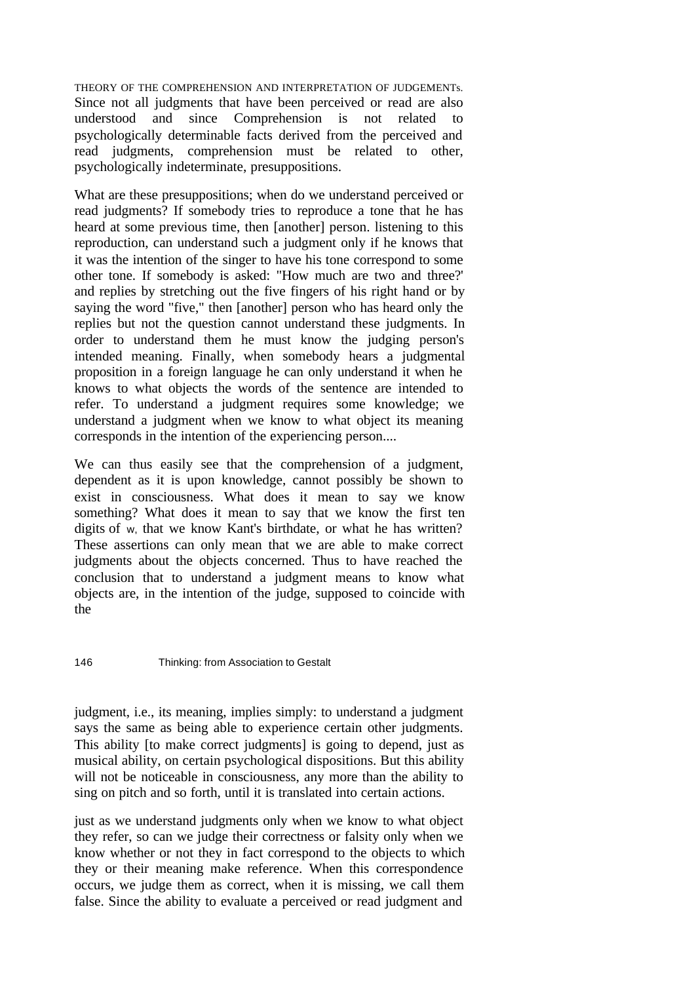THEORY OF THE COMPREHENSION AND INTERPRETATION OF JUDGEMENTs. Since not all judgments that have been perceived or read are also understood and since Comprehension is not related to psychologically determinable facts derived from the perceived and read judgments, comprehension must be related to other, psychologically indeterminate, presuppositions.

What are these presuppositions; when do we understand perceived or read judgments? If somebody tries to reproduce a tone that he has heard at some previous time, then [another] person. listening to this reproduction, can understand such a judgment only if he knows that it was the intention of the singer to have his tone correspond to some other tone. If somebody is asked: "How much are two and three?' and replies by stretching out the five fingers of his right hand or by saying the word "five," then [another] person who has heard only the replies but not the question cannot understand these judgments. In order to understand them he must know the judging person's intended meaning. Finally, when somebody hears a judgmental proposition in a foreign language he can only understand it when he knows to what objects the words of the sentence are intended to refer. To understand a judgment requires some knowledge; we understand a judgment when we know to what object its meaning corresponds in the intention of the experiencing person....

We can thus easily see that the comprehension of a judgment, dependent as it is upon knowledge, cannot possibly be shown to exist in consciousness. What does it mean to say we know something? What does it mean to say that we know the first ten digits of w, that we know Kant's birthdate, or what he has written? These assertions can only mean that we are able to make correct judgments about the objects concerned. Thus to have reached the conclusion that to understand a judgment means to know what objects are, in the intention of the judge, supposed to coincide with the

146 Thinking: from Association to Gestalt

judgment, i.e., its meaning, implies simply: to understand a judgment says the same as being able to experience certain other judgments. This ability [to make correct judgments] is going to depend, just as musical ability, on certain psychological dispositions. But this ability will not be noticeable in consciousness, any more than the ability to sing on pitch and so forth, until it is translated into certain actions.

just as we understand judgments only when we know to what object they refer, so can we judge their correctness or falsity only when we know whether or not they in fact correspond to the objects to which they or their meaning make reference. When this correspondence occurs, we judge them as correct, when it is missing, we call them false. Since the ability to evaluate a perceived or read judgment and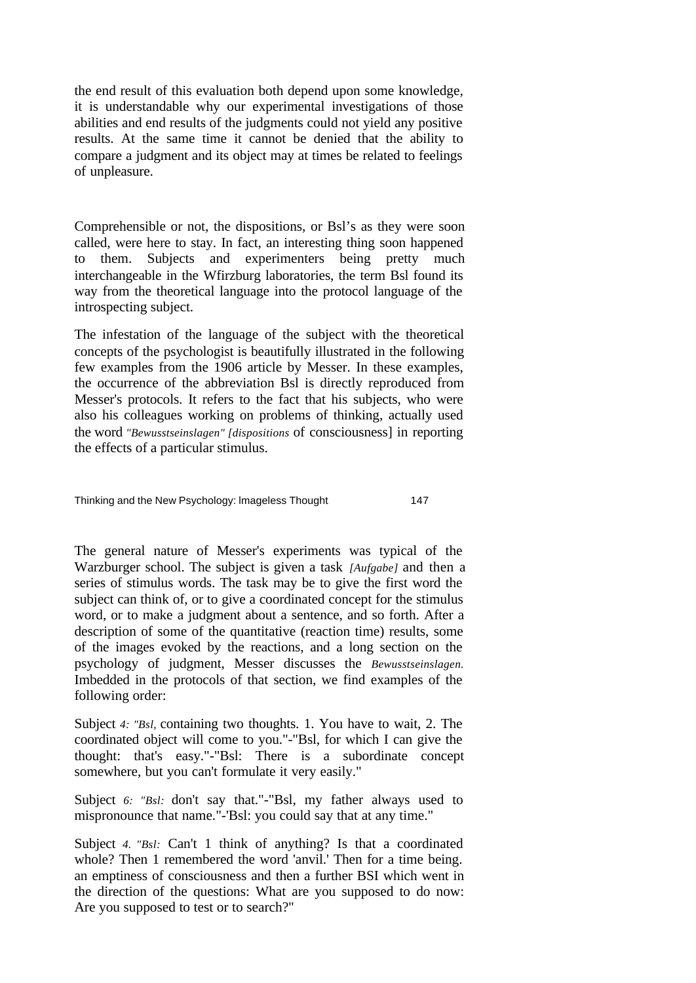the end result of this evaluation both depend upon some knowledge, it is understandable why our experimental investigations of those abilities and end results of the judgments could not yield any positive results. At the same time it cannot be denied that the ability to compare a judgment and its object may at times be related to feelings of unpleasure.

Comprehensible or not, the dispositions, or Bsl's as they were soon called, were here to stay. In fact, an interesting thing soon happened to them. Subjects and experimenters being pretty much interchangeable in the Wfirzburg laboratories, the term Bsl found its way from the theoretical language into the protocol language of the introspecting subject.

The infestation of the language of the subject with the theoretical concepts of the psychologist is beautifully illustrated in the following few examples from the 1906 article by Messer. In these examples, the occurrence of the abbreviation Bsl is directly reproduced from Messer's protocols. It refers to the fact that his subjects, who were also his colleagues working on problems of thinking, actually used the word *"Bewusstseinslagen" [dispositions* of consciousness] in reporting the effects of a particular stimulus.

Thinking and the New Psychology: Imageless Thought 147

The general nature of Messer's experiments was typical of the Warzburger school. The subject is given a task *[Aufgabe]* and then a series of stimulus words. The task may be to give the first word the subject can think of, or to give a coordinated concept for the stimulus word, or to make a judgment about a sentence, and so forth. After a description of some of the quantitative (reaction time) results, some of the images evoked by the reactions, and a long section on the psychology of judgment, Messer discusses the *Bewusstseinslagen.* Imbedded in the protocols of that section, we find examples of the following order:

Subject *4: "Bsl,* containing two thoughts. 1. You have to wait, 2. The coordinated object will come to you."-"Bsl, for which I can give the thought: that's easy."-"Bsl: There is a subordinate concept somewhere, but you can't formulate it very easily."

Subject 6: "Bsl: don't say that."-"Bsl, my father always used to mispronounce that name."-'Bsl: you could say that at any time."

Subject 4. "Bsl: Can't 1 think of anything? Is that a coordinated whole? Then 1 remembered the word 'anvil.' Then for a time being. an emptiness of consciousness and then a further BSI which went in the direction of the questions: What are you supposed to do now: Are you supposed to test or to search?"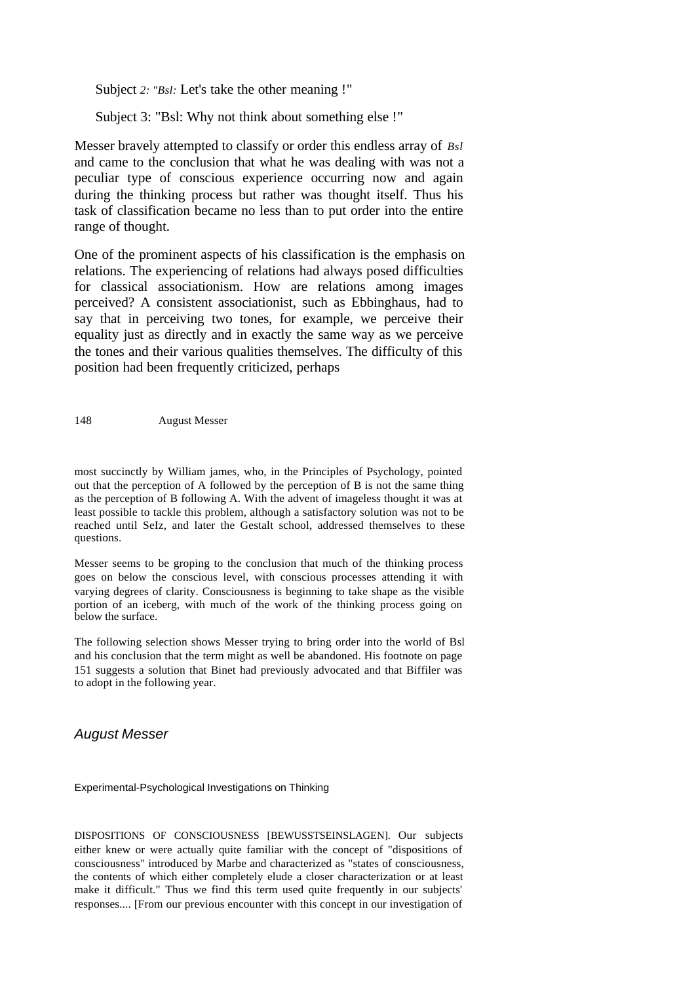Subject 2: "Bsl: Let's take the other meaning !"

Subject 3: "Bsl: Why not think about something else !"

Messer bravely attempted to classify or order this endless array of *Bsl* and came to the conclusion that what he was dealing with was not a peculiar type of conscious experience occurring now and again during the thinking process but rather was thought itself. Thus his task of classification became no less than to put order into the entire range of thought.

One of the prominent aspects of his classification is the emphasis on relations. The experiencing of relations had always posed difficulties for classical associationism. How are relations among images perceived? A consistent associationist, such as Ebbinghaus, had to say that in perceiving two tones, for example, we perceive their equality just as directly and in exactly the same way as we perceive the tones and their various qualities themselves. The difficulty of this position had been frequently criticized, perhaps

148 August Messer

most succinctly by William james, who, in the Principles of Psychology, pointed out that the perception of A followed by the perception of B is not the same thing as the perception of B following A. With the advent of imageless thought it was at least possible to tackle this problem, although a satisfactory solution was not to be reached until SeIz, and later the Gestalt school, addressed themselves to these questions.

Messer seems to be groping to the conclusion that much of the thinking process goes on below the conscious level, with conscious processes attending it with varying degrees of clarity. Consciousness is beginning to take shape as the visible portion of an iceberg, with much of the work of the thinking process going on below the surface.

The following selection shows Messer trying to bring order into the world of Bsl and his conclusion that the term might as well be abandoned. His footnote on page 151 suggests a solution that Binet had previously advocated and that Biffiler was to adopt in the following year.

*August Messer*

Experimental-Psychological Investigations on Thinking

DISPOSITIONS OF CONSCIOUSNESS [BEWUSSTSEINSLAGEN]. Our subjects either knew or were actually quite familiar with the concept of "dispositions of consciousness" introduced by Marbe and characterized as "states of consciousness, the contents of which either completely elude a closer characterization or at least make it difficult." Thus we find this term used quite frequently in our subjects' responses.... [From our previous encounter with this concept in our investigation of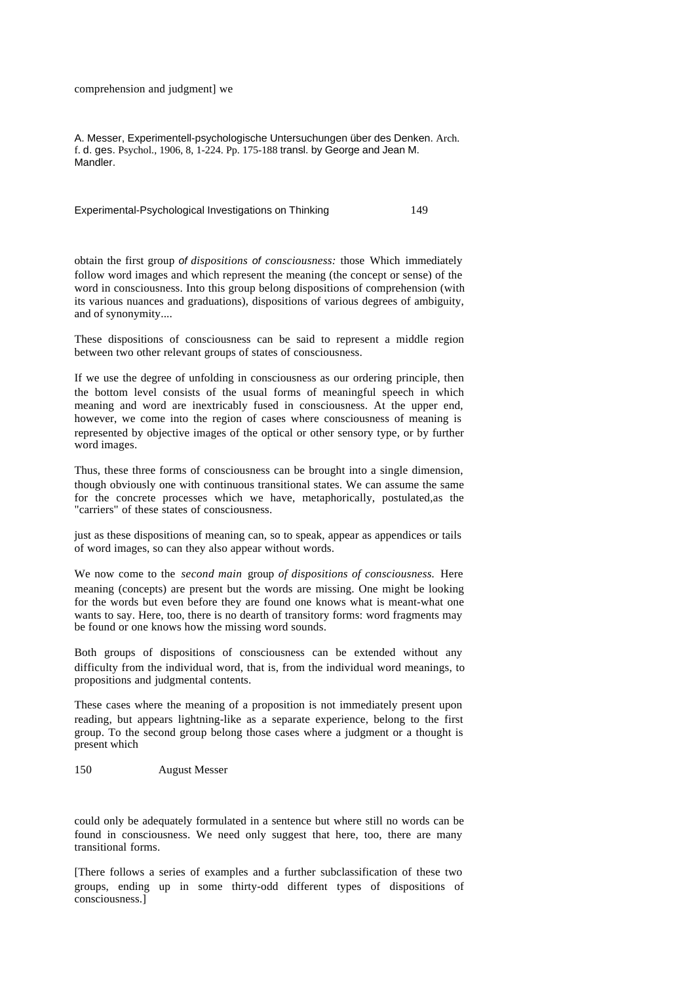comprehension and judgment] we

A. Messer, Experimentell-psychologische Untersuchungen über des Denken. Arch. f. d. ges. Psychol., 1906, 8, 1-224. Pp. 175-188 transl. by George and Jean M. Mandler.

Experimental-Psychological Investigations on Thinking 149

obtain the first group *of dispositions of consciousness:* those Which immediately follow word images and which represent the meaning (the concept or sense) of the word in consciousness. Into this group belong dispositions of comprehension (with its various nuances and graduations), dispositions of various degrees of ambiguity, and of synonymity....

These dispositions of consciousness can be said to represent a middle region between two other relevant groups of states of consciousness.

If we use the degree of unfolding in consciousness as our ordering principle, then the bottom level consists of the usual forms of meaningful speech in which meaning and word are inextricably fused in consciousness. At the upper end, however, we come into the region of cases where consciousness of meaning is represented by objective images of the optical or other sensory type, or by further word images.

Thus, these three forms of consciousness can be brought into a single dimension, though obviously one with continuous transitional states. We can assume the same for the concrete processes which we have, metaphorically, postulated,as the "carriers" of these states of consciousness.

just as these dispositions of meaning can, so to speak, appear as appendices or tails of word images, so can they also appear without words.

We now come to the *second main* group *of dispositions of consciousness.* Here meaning (concepts) are present but the words are missing. One might be looking for the words but even before they are found one knows what is meant-what one wants to say. Here, too, there is no dearth of transitory forms: word fragments may be found or one knows how the missing word sounds.

Both groups of dispositions of consciousness can be extended without any difficulty from the individual word, that is, from the individual word meanings, to propositions and judgmental contents.

These cases where the meaning of a proposition is not immediately present upon reading, but appears lightning-like as a separate experience, belong to the first group. To the second group belong those cases where a judgment or a thought is present which

150 August Messer

could only be adequately formulated in a sentence but where still no words can be found in consciousness. We need only suggest that here, too, there are many transitional forms.

[There follows a series of examples and a further subclassification of these two groups, ending up in some thirty-odd different types of dispositions of consciousness.]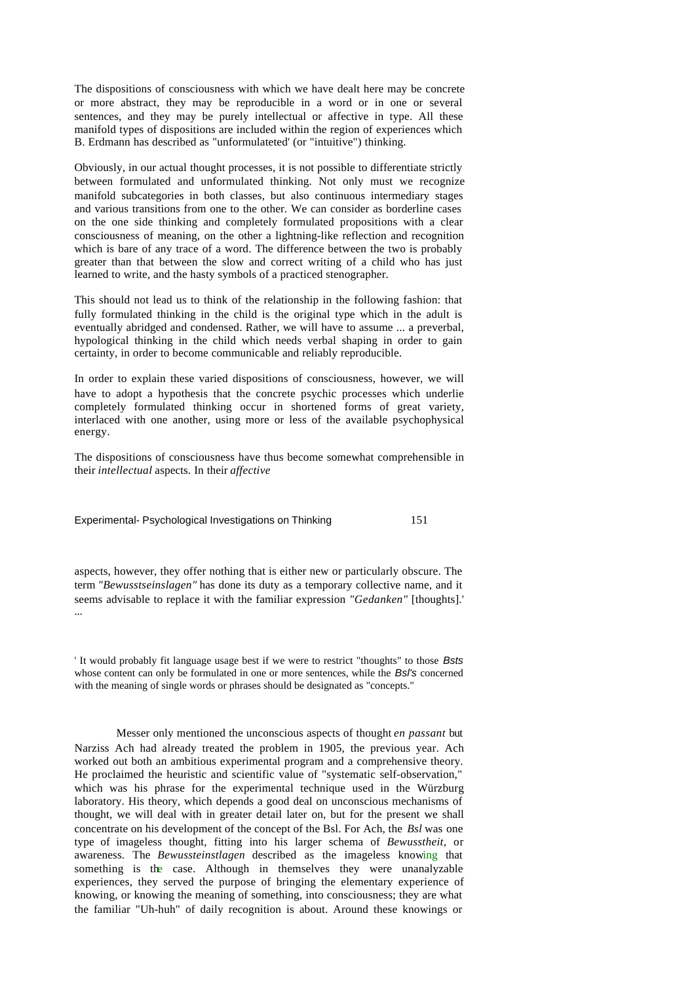The dispositions of consciousness with which we have dealt here may be concrete or more abstract, they may be reproducible in a word or in one or several sentences, and they may be purely intellectual or affective in type. All these manifold types of dispositions are included within the region of experiences which B. Erdmann has described as "unformulateted' (or "intuitive") thinking.

Obviously, in our actual thought processes, it is not possible to differentiate strictly between formulated and unformulated thinking. Not only must we recognize manifold subcategories in both classes, but also continuous intermediary stages and various transitions from one to the other. We can consider as borderline cases on the one side thinking and completely formulated propositions with a clear consciousness of meaning, on the other a lightning-like reflection and recognition which is bare of any trace of a word. The difference between the two is probably greater than that between the slow and correct writing of a child who has just learned to write, and the hasty symbols of a practiced stenographer.

This should not lead us to think of the relationship in the following fashion: that fully formulated thinking in the child is the original type which in the adult is eventually abridged and condensed. Rather, we will have to assume ... a preverbal, hypological thinking in the child which needs verbal shaping in order to gain certainty, in order to become communicable and reliably reproducible.

In order to explain these varied dispositions of consciousness, however, we will have to adopt a hypothesis that the concrete psychic processes which underlie completely formulated thinking occur in shortened forms of great variety, interlaced with one another, using more or less of the available psychophysical energy.

The dispositions of consciousness have thus become somewhat comprehensible in their *intellectual* aspects. In their *affective*

Experimental- Psychological Investigations on Thinking 151

aspects, however, they offer nothing that is either new or particularly obscure. The term *"Bewusstseinslagen"* has done its duty as a temporary collective name, and it seems advisable to replace it with the familiar expression *"Gedanken"* [thoughts].' ...

' It would probably fit language usage best if we were to restrict "thoughts" to those *Bsts* whose content can only be formulated in one or more sentences, while the *Bsl's* concerned with the meaning of single words or phrases should be designated as "concepts."

Messer only mentioned the unconscious aspects of thought *en passant* but Narziss Ach had already treated the problem in 1905, the previous year. Ach worked out both an ambitious experimental program and a comprehensive theory. He proclaimed the heuristic and scientific value of "systematic self-observation," which was his phrase for the experimental technique used in the Würzburg laboratory. His theory, which depends a good deal on unconscious mechanisms of thought, we will deal with in greater detail later on, but for the present we shall concentrate on his development of the concept of the Bsl. For Ach, the *Bsl* was one type of imageless thought, fitting into his larger schema of *Bewusstheit,* or awareness. The *Bewussteinstlagen* described as the imageless knowing that something is the case. Although in themselves they were unanalyzable experiences, they served the purpose of bringing the elementary experience of knowing, or knowing the meaning of something, into consciousness; they are what the familiar "Uh-huh" of daily recognition is about. Around these knowings or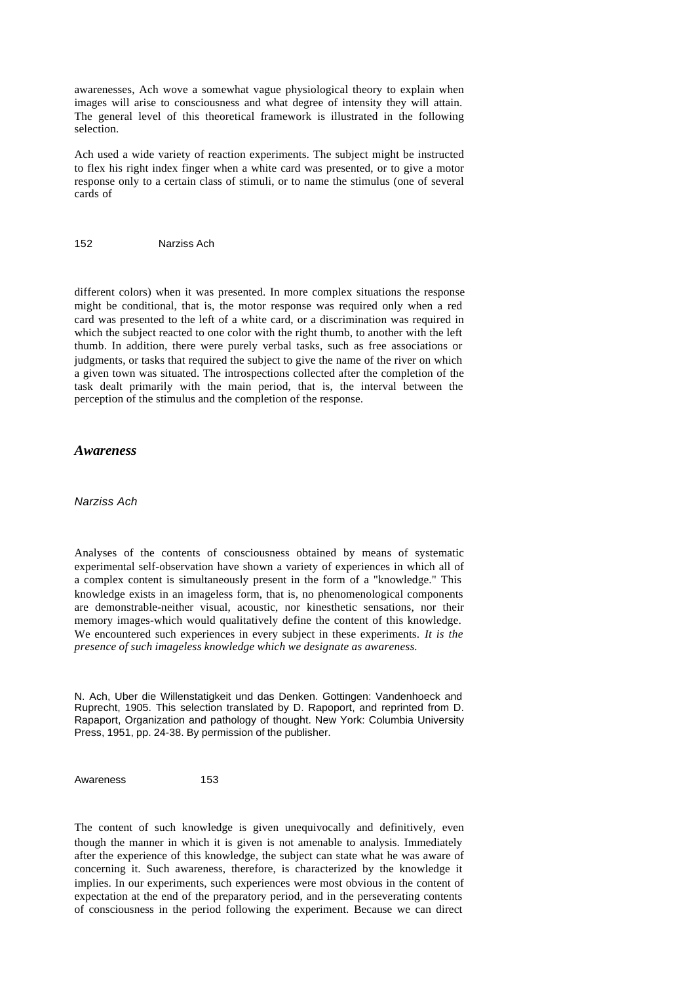awarenesses, Ach wove a somewhat vague physiological theory to explain when images will arise to consciousness and what degree of intensity they will attain. The general level of this theoretical framework is illustrated in the following selection.

Ach used a wide variety of reaction experiments. The subject might be instructed to flex his right index finger when a white card was presented, or to give a motor response only to a certain class of stimuli, or to name the stimulus (one of several cards of

152 Narziss Ach

different colors) when it was presented. In more complex situations the response might be conditional, that is, the motor response was required only when a red card was presented to the left of a white card, or a discrimination was required in which the subject reacted to one color with the right thumb, to another with the left thumb. In addition, there were purely verbal tasks, such as free associations or judgments, or tasks that required the subject to give the name of the river on which a given town was situated. The introspections collected after the completion of the task dealt primarily with the main period, that is, the interval between the perception of the stimulus and the completion of the response.

# *Awareness*

*Narziss Ach*

Analyses of the contents of consciousness obtained by means of systematic experimental self-observation have shown a variety of experiences in which all of a complex content is simultaneously present in the form of a "knowledge." This knowledge exists in an imageless form, that is, no phenomenological components are demonstrable-neither visual, acoustic, nor kinesthetic sensations, nor their memory images-which would qualitatively define the content of this knowledge. We encountered such experiences in every subject in these experiments. *It is the presence of such imageless knowledge which we designate as awareness.*

N. Ach, Uber die Willenstatigkeit und das Denken. Gottingen: Vandenhoeck and Ruprecht, 1905. This selection translated by D. Rapoport, and reprinted from D. Rapaport, Organization and pathology of thought. New York: Columbia University Press, 1951, pp. 24-38. By permission of the publisher.

Awareness 153

The content of such knowledge is given unequivocally and definitively, even though the manner in which it is given is not amenable to analysis. Immediately after the experience of this knowledge, the subject can state what he was aware of concerning it. Such awareness, therefore, is characterized by the knowledge it implies. In our experiments, such experiences were most obvious in the content of expectation at the end of the preparatory period, and in the perseverating contents of consciousness in the period following the experiment. Because we can direct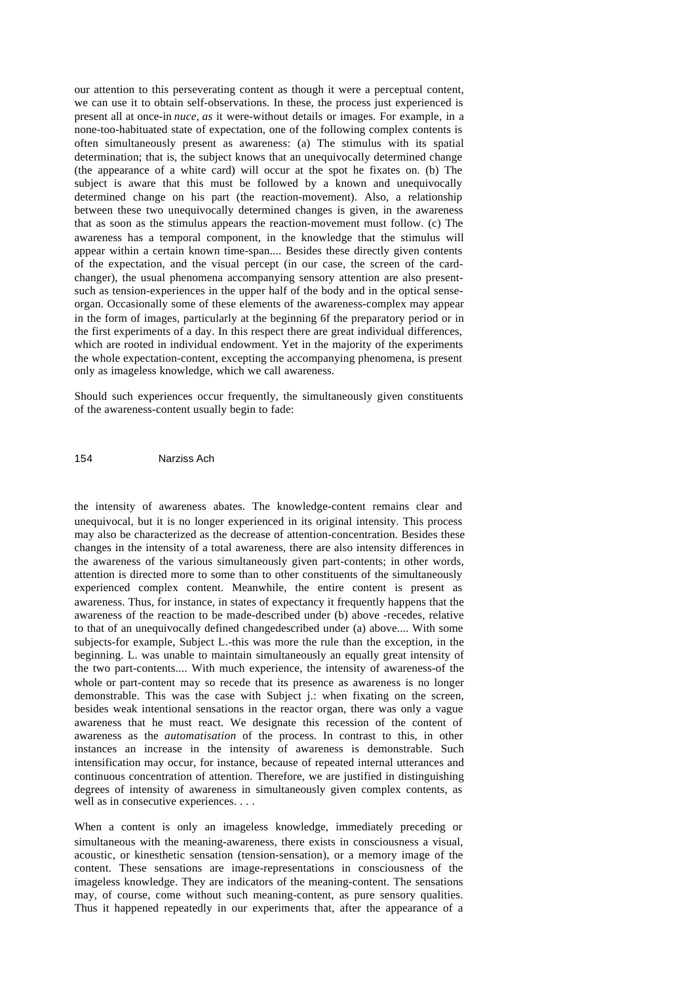our attention to this perseverating content as though it were a perceptual content, we can use it to obtain self-observations. In these, the process just experienced is present all at once-in *nuce, as* it were-without details or images. For example, in a none-too-habituated state of expectation, one of the following complex contents is often simultaneously present as awareness: (a) The stimulus with its spatial determination; that is, the subject knows that an unequivocally determined change (the appearance of a white card) will occur at the spot he fixates on. (b) The subject is aware that this must be followed by a known and unequivocally determined change on his part (the reaction-movement). Also, a relationship between these two unequivocally determined changes is given, in the awareness that as soon as the stimulus appears the reaction-movement must follow. (c) The awareness has a temporal component, in the knowledge that the stimulus will appear within a certain known time-span.... Besides these directly given contents of the expectation, and the visual percept (in our case, the screen of the cardchanger), the usual phenomena accompanying sensory attention are also presentsuch as tension-experiences in the upper half of the body and in the optical senseorgan. Occasionally some of these elements of the awareness-complex may appear in the form of images, particularly at the beginning 6f the preparatory period or in the first experiments of a day. In this respect there are great individual differences, which are rooted in individual endowment. Yet in the majority of the experiments the whole expectation-content, excepting the accompanying phenomena, is present only as imageless knowledge, which we call awareness.

Should such experiences occur frequently, the simultaneously given constituents of the awareness-content usually begin to fade:

154 Narziss Ach

the intensity of awareness abates. The knowledge-content remains clear and unequivocal, but it is no longer experienced in its original intensity. This process may also be characterized as the decrease of attention-concentration. Besides these changes in the intensity of a total awareness, there are also intensity differences in the awareness of the various simultaneously given part-contents; in other words, attention is directed more to some than to other constituents of the simultaneously experienced complex content. Meanwhile, the entire content is present as awareness. Thus, for instance, in states of expectancy it frequently happens that the awareness of the reaction to be made-described under (b) above -recedes, relative to that of an unequivocally defined changedescribed under (a) above.... With some subjects-for example, Subject L.-this was more the rule than the exception, in the beginning. L. was unable to maintain simultaneously an equally great intensity of the two part-contents.... With much experience, the intensity of awareness-of the whole or part-content may so recede that its presence as awareness is no longer demonstrable. This was the case with Subject j.: when fixating on the screen, besides weak intentional sensations in the reactor organ, there was only a vague awareness that he must react. We designate this recession of the content of awareness as the *automatisation* of the process. In contrast to this, in other instances an increase in the intensity of awareness is demonstrable. Such intensification may occur, for instance, because of repeated internal utterances and continuous concentration of attention. Therefore, we are justified in distinguishing degrees of intensity of awareness in simultaneously given complex contents, as well as in consecutive experiences. . . .

When a content is only an imageless knowledge, immediately preceding or simultaneous with the meaning-awareness, there exists in consciousness a visual, acoustic, or kinesthetic sensation (tension-sensation), or a memory image of the content. These sensations are image-representations in consciousness of the imageless knowledge. They are indicators of the meaning-content. The sensations may, of course, come without such meaning-content, as pure sensory qualities. Thus it happened repeatedly in our experiments that, after the appearance of a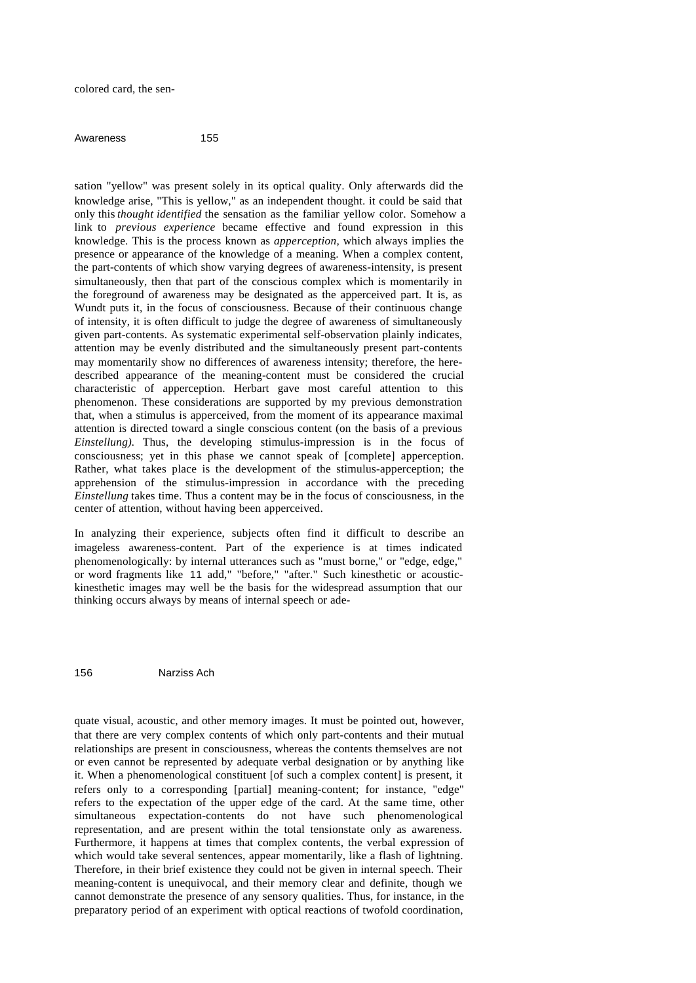# Awareness 155

sation "yellow" was present solely in its optical quality. Only afterwards did the knowledge arise, "This is yellow," as an independent thought. it could be said that only this *thought identified* the sensation as the familiar yellow color. Somehow a link to *previous experience* became effective and found expression in this knowledge. This is the process known as *apperception,* which always implies the presence or appearance of the knowledge of a meaning. When a complex content, the part-contents of which show varying degrees of awareness-intensity, is present simultaneously, then that part of the conscious complex which is momentarily in the foreground of awareness may be designated as the apperceived part. It is, as Wundt puts it, in the focus of consciousness. Because of their continuous change of intensity, it is often difficult to judge the degree of awareness of simultaneously given part-contents. As systematic experimental self-observation plainly indicates, attention may be evenly distributed and the simultaneously present part-contents may momentarily show no differences of awareness intensity; therefore, the heredescribed appearance of the meaning-content must be considered the crucial characteristic of apperception. Herbart gave most careful attention to this phenomenon. These considerations are supported by my previous demonstration that, when a stimulus is apperceived, from the moment of its appearance maximal attention is directed toward a single conscious content (on the basis of a previous *Einstellung).* Thus, the developing stimulus-impression is in the focus of consciousness; yet in this phase we cannot speak of [complete] apperception. Rather, what takes place is the development of the stimulus-apperception; the apprehension of the stimulus-impression in accordance with the preceding *Einstellung* takes time. Thus a content may be in the focus of consciousness, in the center of attention, without having been apperceived.

In analyzing their experience, subjects often find it difficult to describe an imageless awareness-content. Part of the experience is at times indicated phenomenologically: by internal utterances such as "must borne," or "edge, edge," or word fragments like 11 add," "before," "after." Such kinesthetic or acoustickinesthetic images may well be the basis for the widespread assumption that our thinking occurs always by means of internal speech or ade-

156 Narziss Ach

quate visual, acoustic, and other memory images. It must be pointed out, however, that there are very complex contents of which only part-contents and their mutual relationships are present in consciousness, whereas the contents themselves are not or even cannot be represented by adequate verbal designation or by anything like it. When a phenomenological constituent [of such a complex content] is present, it refers only to a corresponding [partial] meaning-content; for instance, "edge" refers to the expectation of the upper edge of the card. At the same time, other simultaneous expectation-contents do not have such phenomenological representation, and are present within the total tensionstate only as awareness. Furthermore, it happens at times that complex contents, the verbal expression of which would take several sentences, appear momentarily, like a flash of lightning. Therefore, in their brief existence they could not be given in internal speech. Their meaning-content is unequivocal, and their memory clear and definite, though we cannot demonstrate the presence of any sensory qualities. Thus, for instance, in the preparatory period of an experiment with optical reactions of twofold coordination,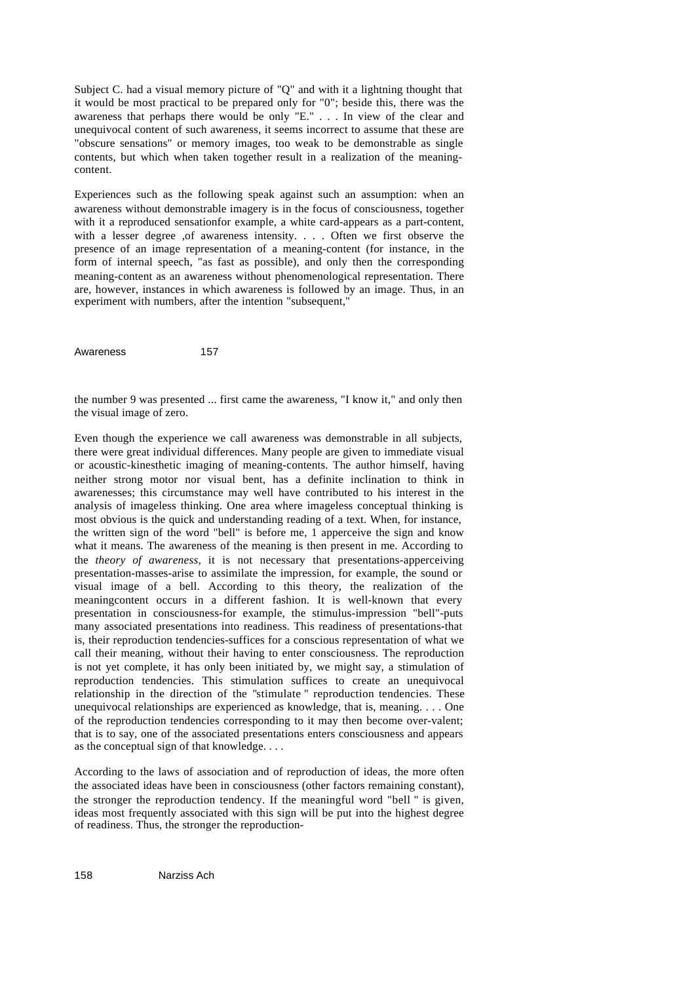Subject C. had a visual memory picture of "Q" and with it a lightning thought that it would be most practical to be prepared only for "0"; beside this, there was the awareness that perhaps there would be only "E." . . . In view of the clear and unequivocal content of such awareness, it seems incorrect to assume that these are "obscure sensations" or memory images, too weak to be demonstrable as single contents, but which when taken together result in a realization of the meaningcontent.

Experiences such as the following speak against such an assumption: when an awareness without demonstrable imagery is in the focus of consciousness, together with it a reproduced sensationfor example, a white card-appears as a part-content, with a lesser degree ,of awareness intensity. . . . Often we first observe the presence of an image representation of a meaning-content (for instance, in the form of internal speech, "as fast as possible), and only then the corresponding meaning-content as an awareness without phenomenological representation. There are, however, instances in which awareness is followed by an image. Thus, in an experiment with numbers, after the intention "subsequent,"

Awareness 157

the number 9 was presented ... first came the awareness, "I know it," and only then the visual image of zero.

Even though the experience we call awareness was demonstrable in all subjects, there were great individual differences. Many people are given to immediate visual or acoustic-kinesthetic imaging of meaning-contents. The author himself, having neither strong motor nor visual bent, has a definite inclination to think in awarenesses; this circumstance may well have contributed to his interest in the analysis of imageless thinking. One area where imageless conceptual thinking is most obvious is the quick and understanding reading of a text. When, for instance, the written sign of the word "bell" is before me, 1 apperceive the sign and know what it means. The awareness of the meaning is then present in me. According to the *theory of awareness,* it is not necessary that presentations-apperceiving presentation-masses-arise to assimilate the impression, for example, the sound or visual image of a bell. According to this theory, the realization of the meaningcontent occurs in a different fashion. It is well-known that every presentation in consciousness-for example, the stimulus-impression "bell"-puts many associated presentations into readiness. This readiness of presentations-that is, their reproduction tendencies-suffices for a conscious representation of what we call their meaning, without their having to enter consciousness. The reproduction is not yet complete, it has only been initiated by, we might say, a stimulation of reproduction tendencies. This stimulation suffices to create an unequivocal relationship in the direction of the "stimulate " reproduction tendencies. These unequivocal relationships are experienced as knowledge, that is, meaning. . . . One of the reproduction tendencies corresponding to it may then become over-valent; that is to say, one of the associated presentations enters consciousness and appears as the conceptual sign of that knowledge. . . .

According to the laws of association and of reproduction of ideas, the more often the associated ideas have been in consciousness (other factors remaining constant), the stronger the reproduction tendency. If the meaningful word " bell " is given, ideas most frequently associated with this sign will be put into the highest degree of readiness. Thus, the stronger the reproduction-

158 Narziss Ach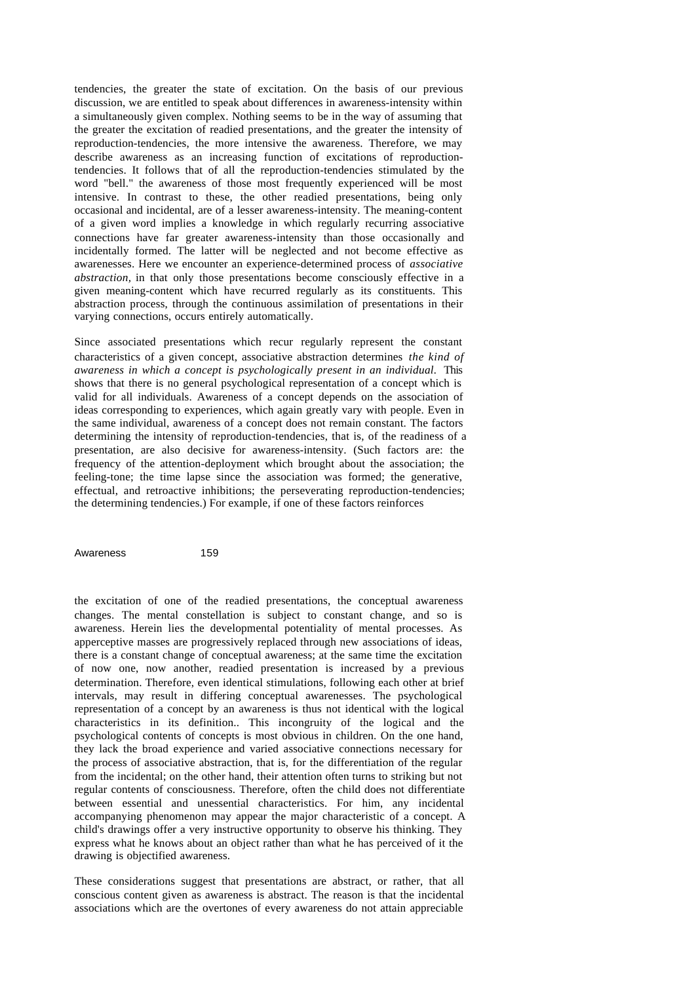tendencies, the greater the state of excitation. On the basis of our previous discussion, we are entitled to speak about differences in awareness-intensity within a simultaneously given complex. Nothing seems to be in the way of assuming that the greater the excitation of readied presentations, and the greater the intensity of reproduction-tendencies, the more intensive the awareness. Therefore, we may describe awareness as an increasing function of excitations of reproductiontendencies. It follows that of all the reproduction-tendencies stimulated by the word "bell." the awareness of those most frequently experienced will be most intensive. In contrast to these, the other readied presentations, being only occasional and incidental, are of a lesser awareness-intensity. The meaning-content of a given word implies a knowledge in which regularly recurring associative connections have far greater awareness-intensity than those occasionally and incidentally formed. The latter will be neglected and not become effective as awarenesses. Here we encounter an experience-determined process of *associative abstraction,* in that only those presentations become consciously effective in a given meaning-content which have recurred regularly as its constituents. This abstraction process, through the continuous assimilation of presentations in their varying connections, occurs entirely automatically.

Since associated presentations which recur regularly represent the constant characteristics of a given concept, associative abstraction determines *the kind of awareness in which a concept is psychologically present in an individual.* This shows that there is no general psychological representation of a concept which is valid for all individuals. Awareness of a concept depends on the association of ideas corresponding to experiences, which again greatly vary with people. Even in the same individual, awareness of a concept does not remain constant. The factors determining the intensity of reproduction-tendencies, that is, of the readiness of a presentation, are also decisive for awareness-intensity. (Such factors are: the frequency of the attention-deployment which brought about the association; the feeling-tone; the time lapse since the association was formed; the generative, effectual, and retroactive inhibitions; the perseverating reproduction-tendencies; the determining tendencies.) For example, if one of these factors reinforces

Awareness 159

the excitation of one of the readied presentations, the conceptual awareness changes. The mental constellation is subject to constant change, and so is awareness. Herein lies the developmental potentiality of mental processes. As apperceptive masses are progressively replaced through new associations of ideas, there is a constant change of conceptual awareness; at the same time the excitation of now one, now another, readied presentation is increased by a previous determination. Therefore, even identical stimulations, following each other at brief intervals, may result in differing conceptual awarenesses. The psychological representation of a concept by an awareness is thus not identical with the logical characteristics in its definition.. This incongruity of the logical and the psychological contents of concepts is most obvious in children. On the one hand, they lack the broad experience and varied associative connections necessary for the process of associative abstraction, that is, for the differentiation of the regular from the incidental; on the other hand, their attention often turns to striking but not regular contents of consciousness. Therefore, often the child does not differentiate between essential and unessential characteristics. For him, any incidental accompanying phenomenon may appear the major characteristic of a concept. A child's drawings offer a very instructive opportunity to observe his thinking. They express what he knows about an object rather than what he has perceived of it the drawing is objectified awareness.

These considerations suggest that presentations are abstract, or rather, that all conscious content given as awareness is abstract. The reason is that the incidental associations which are the overtones of every awareness do not attain appreciable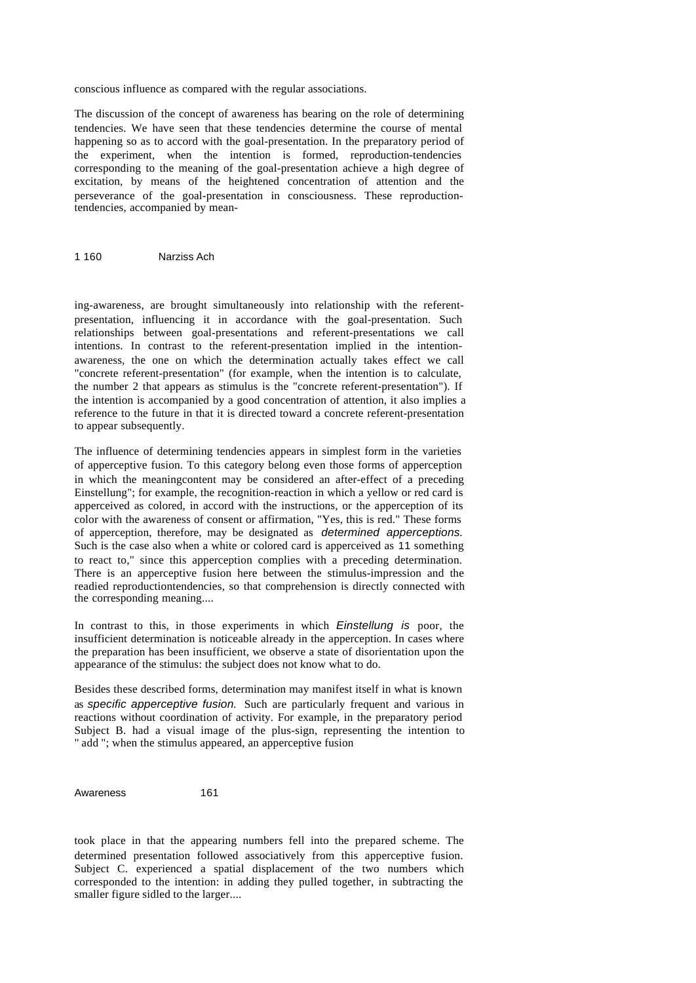conscious influence as compared with the regular associations.

The discussion of the concept of awareness has bearing on the role of determining tendencies. We have seen that these tendencies determine the course of mental happening so as to accord with the goal-presentation. In the preparatory period of the experiment, when the intention is formed, reproduction-tendencies corresponding to the meaning of the goal-presentation achieve a high degree of excitation, by means of the heightened concentration of attention and the perseverance of the goal-presentation in consciousness. These reproductiontendencies, accompanied by mean-

1 160 Narziss Ach

ing-awareness, are brought simultaneously into relationship with the referentpresentation, influencing it in accordance with the goal-presentation. Such relationships between goal-presentations and referent-presentations we call intentions. In contrast to the referent-presentation implied in the intentionawareness, the one on which the determination actually takes effect we call "concrete referent-presentation" (for example, when the intention is to calculate, the number 2 that appears as stimulus is the "concrete referent-presentation"). If the intention is accompanied by a good concentration of attention, it also implies a reference to the future in that it is directed toward a concrete referent-presentation to appear subsequently.

The influence of determining tendencies appears in simplest form in the varieties of apperceptive fusion. To this category belong even those forms of apperception in which the meaningcontent may be considered an after-effect of a preceding Einstellung"; for example, the recognition-reaction in which a yellow or red card is apperceived as colored, in accord with the instructions, or the apperception of its color with the awareness of consent or affirmation, "Yes, this is red." These forms of apperception, therefore, may be designated as *determined apperceptions.* Such is the case also when a white or colored card is apperceived as 11 something to react to," since this apperception complies with a preceding determination. There is an apperceptive fusion here between the stimulus-impression and the readied reproductiontendencies, so that comprehension is directly connected with the corresponding meaning....

In contrast to this, in those experiments in which *Einstellung is* poor, the insufficient determination is noticeable already in the apperception. In cases where the preparation has been insufficient, we observe a state of disorientation upon the appearance of the stimulus: the subject does not know what to do.

Besides these described forms, determination may manifest itself in what is known as *specific apperceptive fusion.* Such are particularly frequent and various in reactions without coordination of activity. For example, in the preparatory period Subject B. had a visual image of the plus-sign, representing the intention to " add "; when the stimulus appeared, an apperceptive fusion

Awareness 161

took place in that the appearing numbers fell into the prepared scheme. The determined presentation followed associatively from this apperceptive fusion. Subject C. experienced a spatial displacement of the two numbers which corresponded to the intention: in adding they pulled together, in subtracting the smaller figure sidled to the larger....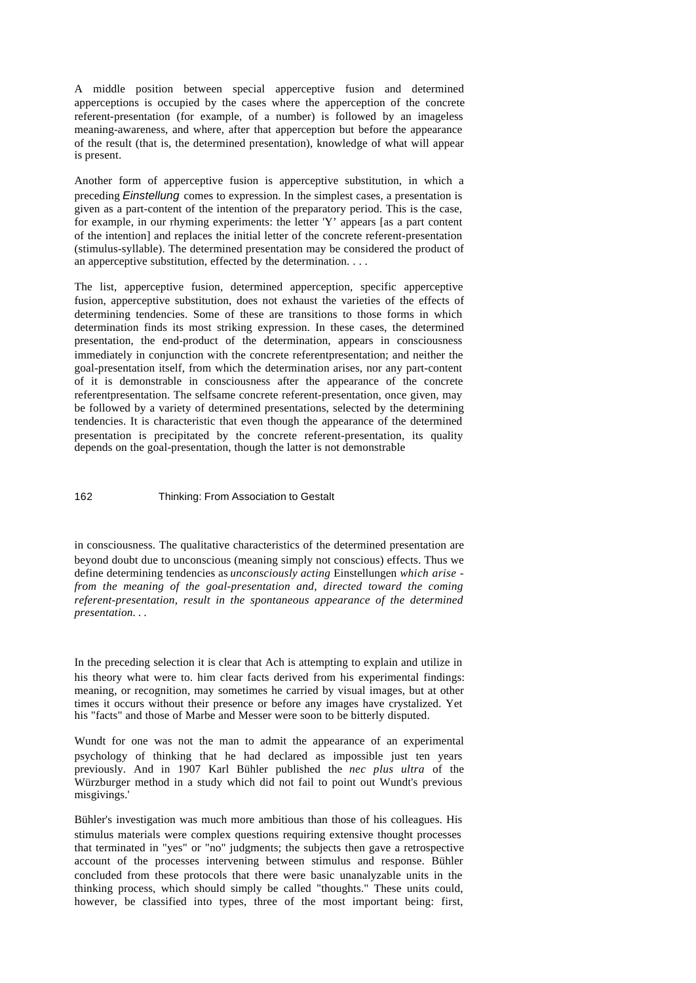A middle position between special apperceptive fusion and determined apperceptions is occupied by the cases where the apperception of the concrete referent-presentation (for example, of a number) is followed by an imageless meaning-awareness, and where, after that apperception but before the appearance of the result (that is, the determined presentation), knowledge of what will appear is present.

Another form of apperceptive fusion is apperceptive substitution, in which a preceding *Einstellung* comes to expression. In the simplest cases, a presentation is given as a part-content of the intention of the preparatory period. This is the case, for example, in our rhyming experiments: the letter 'Y' appears [as a part content of the intention] and replaces the initial letter of the concrete referent-presentation (stimulus-syllable). The determined presentation may be considered the product of an apperceptive substitution, effected by the determination. . . .

The list, apperceptive fusion, determined apperception, specific apperceptive fusion, apperceptive substitution, does not exhaust the varieties of the effects of determining tendencies. Some of these are transitions to those forms in which determination finds its most striking expression. In these cases, the determined presentation, the end-product of the determination, appears in consciousness immediately in conjunction with the concrete referentpresentation; and neither the goal-presentation itself, from which the determination arises, nor any part-content of it is demonstrable in consciousness after the appearance of the concrete referentpresentation. The selfsame concrete referent-presentation, once given, may be followed by a variety of determined presentations, selected by the determining tendencies. It is characteristic that even though the appearance of the determined presentation is precipitated by the concrete referent-presentation, its quality depends on the goal-presentation, though the latter is not demonstrable

162 Thinking: From Association to Gestalt

in consciousness. The qualitative characteristics of the determined presentation are beyond doubt due to unconscious (meaning simply not conscious) effects. Thus we define determining tendencies as *unconsciously acting* Einstellungen *which arise from the meaning of the goal-presentation and, directed toward the coming referent-presentation, result in the spontaneous appearance of the determined presentation. . .*

In the preceding selection it is clear that Ach is attempting to explain and utilize in his theory what were to. him clear facts derived from his experimental findings: meaning, or recognition, may sometimes he carried by visual images, but at other times it occurs without their presence or before any images have crystalized. Yet his "facts" and those of Marbe and Messer were soon to be bitterly disputed.

Wundt for one was not the man to admit the appearance of an experimental psychology of thinking that he had declared as impossible just ten years previously. And in 1907 Karl Bühler published the *nec plus ultra* of the Würzburger method in a study which did not fail to point out Wundt's previous misgivings.'

Bühler's investigation was much more ambitious than those of his colleagues. His stimulus materials were complex questions requiring extensive thought processes that terminated in "yes" or "no" judgments; the subjects then gave a retrospective account of the processes intervening between stimulus and response. Bühler concluded from these protocols that there were basic unanalyzable units in the thinking process, which should simply be called "thoughts." These units could, however, be classified into types, three of the most important being: first,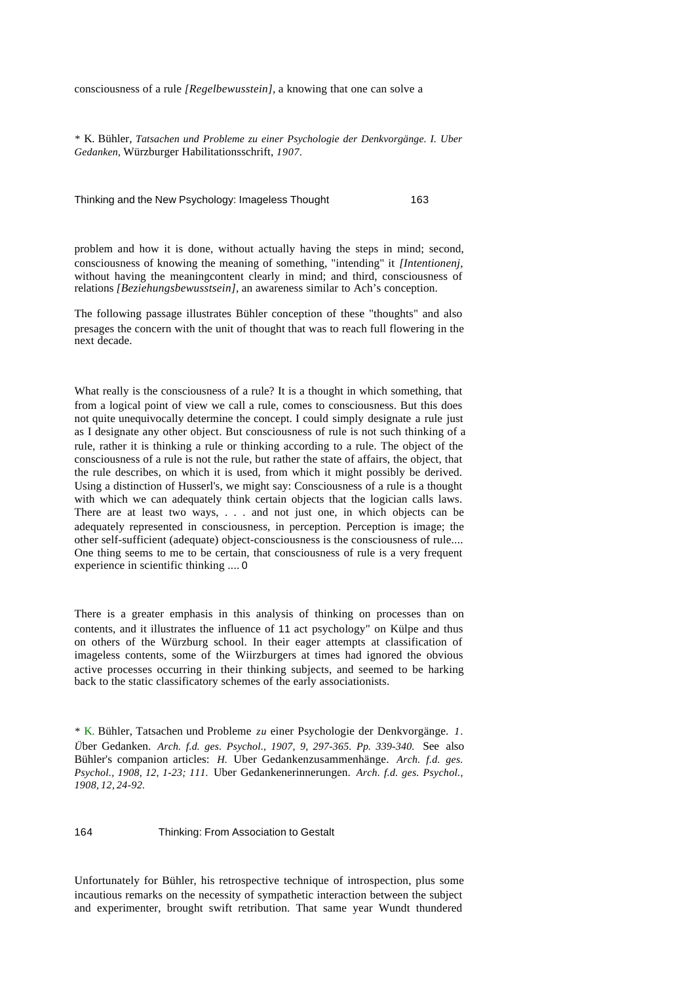consciousness of a rule *[Regelbewusstein],* a knowing that one can solve a

*\** K. Bühler, *Tatsachen und Probleme zu einer Psychologie der Denkvorgänge. I. Uber Gedanken,* Würzburger Habilitationsschrift, *1907.*

Thinking and the New Psychology: Imageless Thought 163

problem and how it is done, without actually having the steps in mind; second, consciousness of knowing the meaning of something, "intending" it *[Intentionenj,* without having the meaningcontent clearly in mind; and third, consciousness of relations *[Beziehungsbewusstsein],* an awareness similar to Ach's conception.

The following passage illustrates Bühler conception of these "thoughts" and also presages the concern with the unit of thought that was to reach full flowering in the next decade.

What really is the consciousness of a rule? It is a thought in which something, that from a logical point of view we call a rule, comes to consciousness. But this does not quite unequivocally determine the concept. I could simply designate a rule just as I designate any other object. But consciousness of rule is not such thinking of a rule, rather it is thinking a rule or thinking according to a rule. The object of the consciousness of a rule is not the rule, but rather the state of affairs, the object, that the rule describes, on which it is used, from which it might possibly be derived. Using a distinction of Husserl's, we might say: Consciousness of a rule is a thought with which we can adequately think certain objects that the logician calls laws. There are at least two ways, . . . and not just one, in which objects can be adequately represented in consciousness, in perception. Perception is image; the other self-sufficient (adequate) object-consciousness is the consciousness of rule.... One thing seems to me to be certain, that consciousness of rule is a very frequent experience in scientific thinking .... 0

There is a greater emphasis in this analysis of thinking on processes than on contents, and it illustrates the influence of 11 act psychology" on Külpe and thus on others of the Würzburg school. In their eager attempts at classification of imageless contents, some of the Wiirzburgers at times had ignored the obvious active processes occurring in their thinking subjects, and seemed to be harking back to the static classificatory schemes of the early associationists.

*\** K. Bühler, Tatsachen und Probleme *zu* einer Psychologie der Denkvorgänge. *1. Ü*ber Gedanken. *Arch. f.d. ges. Psychol., 1907, 9, 297-365. Pp. 339-340.* See also Bühler's companion articles: *H.* Uber Gedankenzusammenhänge. *Arch. f.d. ges. Psychol., 1908, 12, 1-23; 111.* Uber Gedankenerinnerungen. *Arch. f.d. ges. Psychol., 1908, 12, 24-92.*

# 164 Thinking: From Association to Gestalt

Unfortunately for Bühler, his retrospective technique of introspection, plus some incautious remarks on the necessity of sympathetic interaction between the subject and experimenter, brought swift retribution. That same year Wundt thundered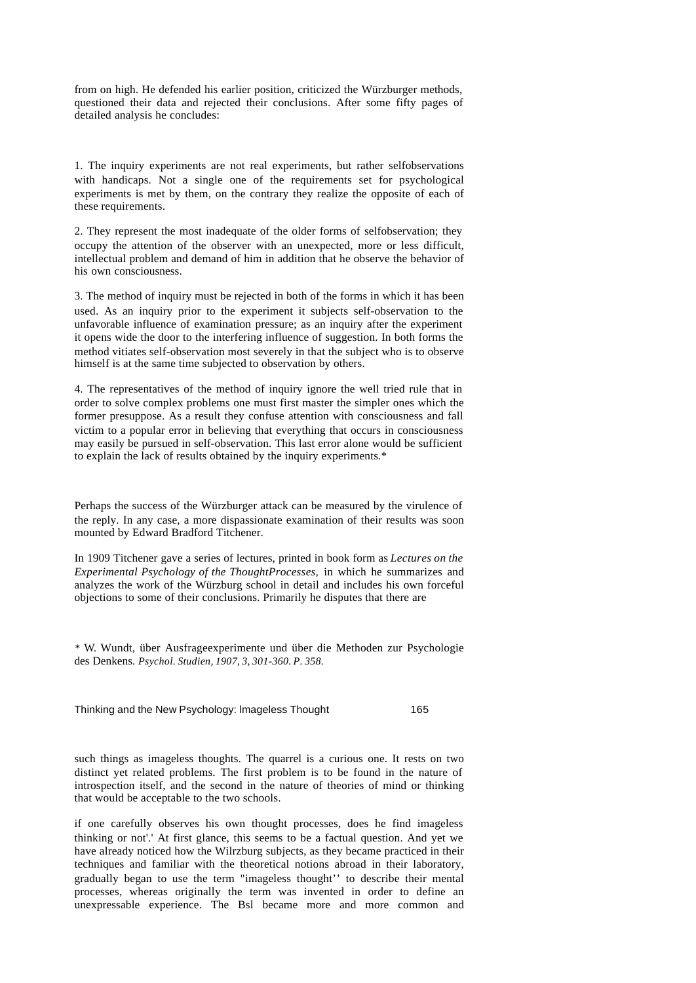from on high. He defended his earlier position, criticized the Würzburger methods, questioned their data and rejected their conclusions. After some fifty pages of detailed analysis he concludes:

1. The inquiry experiments are not real experiments, but rather selfobservations with handicaps. Not a single one of the requirements set for psychological experiments is met by them, on the contrary they realize the opposite of each of these requirements.

2. They represent the most inadequate of the older forms of selfobservation; they occupy the attention of the observer with an unexpected, more or less difficult, intellectual problem and demand of him in addition that he observe the behavior of his own consciousness.

3. The method of inquiry must be rejected in both of the forms in which it has been used. As an inquiry prior to the experiment it subjects self-observation to the unfavorable influence of examination pressure; as an inquiry after the experiment it opens wide the door to the interfering influence of suggestion. In both forms the method vitiates self-observation most severely in that the subject who is to observe himself is at the same time subjected to observation by others.

4. The representatives of the method of inquiry ignore the well tried rule that in order to solve complex problems one must first master the simpler ones which the former presuppose. As a result they confuse attention with consciousness and fall victim to a popular error in believing that everything that occurs in consciousness may easily be pursued in self-observation. This last error alone would be sufficient to explain the lack of results obtained by the inquiry experiments.\*

Perhaps the success of the Würzburger attack can be measured by the virulence of the reply. In any case, a more dispassionate examination of their results was soon mounted by Edward Bradford Titchener.

In 1909 Titchener gave a series of lectures, printed in book form as *Lectures on the Experimental Psychology of the ThoughtProcesses,* in which he summarizes and analyzes the work of the Würzburg school in detail and includes his own forceful objections to some of their conclusions. Primarily he disputes that there are

*\** W. Wundt, über Ausfrageexperimente und über die Methoden zur Psychologie des Denkens. *Psychol. Studien, 1907, 3, 301-360. P. 358.*

Thinking and the New Psychology: lmageless Thought 165

such things as imageless thoughts. The quarrel is a curious one. It rests on two distinct yet related problems. The first problem is to be found in the nature of introspection itself, and the second in the nature of theories of mind or thinking that would be acceptable to the two schools.

if one carefully observes his own thought processes, does he find imageless thinking or not'.' At first glance, this seems to be a factual question. And yet we have already noticed how the Wilrzburg subjects, as they became practiced in their techniques and familiar with the theoretical notions abroad in their laboratory, gradually began to use the term "imageless thought'' to describe their mental processes, whereas originally the term was invented in order to define an unexpressable experience. The Bsl became more and more common and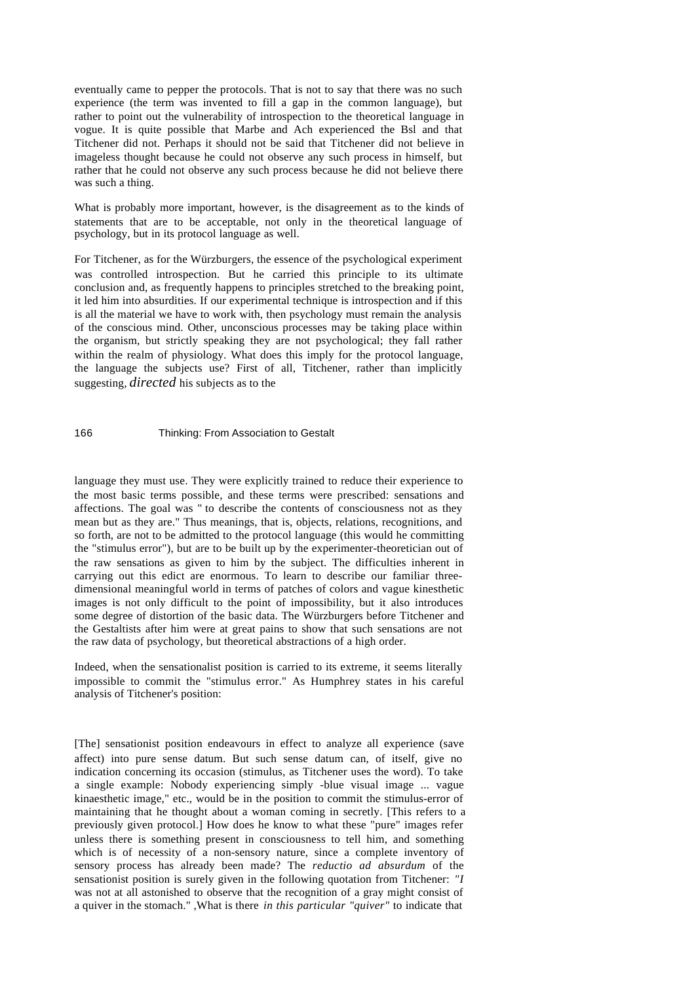eventually came to pepper the protocols. That is not to say that there was no such experience (the term was invented to fill a gap in the common language), but rather to point out the vulnerability of introspection to the theoretical language in vogue. It is quite possible that Marbe and Ach experienced the Bsl and that Titchener did not. Perhaps it should not be said that Titchener did not believe in imageless thought because he could not observe any such process in himself, but rather that he could not observe any such process because he did not believe there was such a thing.

What is probably more important, however, is the disagreement as to the kinds of statements that are to be acceptable, not only in the theoretical language of psychology, but in its protocol language as well.

For Titchener, as for the Würzburgers, the essence of the psychological experiment was controlled introspection. But he carried this principle to its ultimate conclusion and, as frequently happens to principles stretched to the breaking point, it led him into absurdities. If our experimental technique is introspection and if this is all the material we have to work with, then psychology must remain the analysis of the conscious mind. Other, unconscious processes may be taking place within the organism, but strictly speaking they are not psychological; they fall rather within the realm of physiology. What does this imply for the protocol language, the language the subjects use? First of all, Titchener, rather than implicitly suggesting, *directed* his subjects as to the

# 166 Thinking: From Association to Gestalt

language they must use. They were explicitly trained to reduce their experience to the most basic terms possible, and these terms were prescribed: sensations and affections. The goal was " to describe the contents of consciousness not as they mean but as they are." Thus meanings, that is, objects, relations, recognitions, and so forth, are not to be admitted to the protocol language (this would he committing the "stimulus error"), but are to be built up by the experimenter-theoretician out of the raw sensations as given to him by the subject. The difficulties inherent in carrying out this edict are enormous. To learn to describe our familiar threedimensional meaningful world in terms of patches of colors and vague kinesthetic images is not only difficult to the point of impossibility, but it also introduces some degree of distortion of the basic data. The Würzburgers before Titchener and the Gestaltists after him were at great pains to show that such sensations are not the raw data of psychology, but theoretical abstractions of a high order.

Indeed, when the sensationalist position is carried to its extreme, it seems literally impossible to commit the "stimulus error." As Humphrey states in his careful analysis of Titchener's position:

[The] sensationist position endeavours in effect to analyze all experience (save affect) into pure sense datum. But such sense datum can, of itself, give no indication concerning its occasion (stimulus, as Titchener uses the word). To take a single example: Nobody experiencing simply -blue visual image ... vague kinaesthetic image," etc., would be in the position to commit the stimulus-error of maintaining that he thought about a woman coming in secretly. [This refers to a previously given protocol.] How does he know to what these "pure" images refer unless there is something present in consciousness to tell him, and something which is of necessity of a non-sensory nature, since a complete inventory of sensory process has already been made? The *reductio ad absurdum* of the sensationist position is surely given in the following quotation from Titchener: *"I* was not at all astonished to observe that the recognition of a gray might consist of a quiver in the stomach." ,What is there *in this particular "quiver"* to indicate that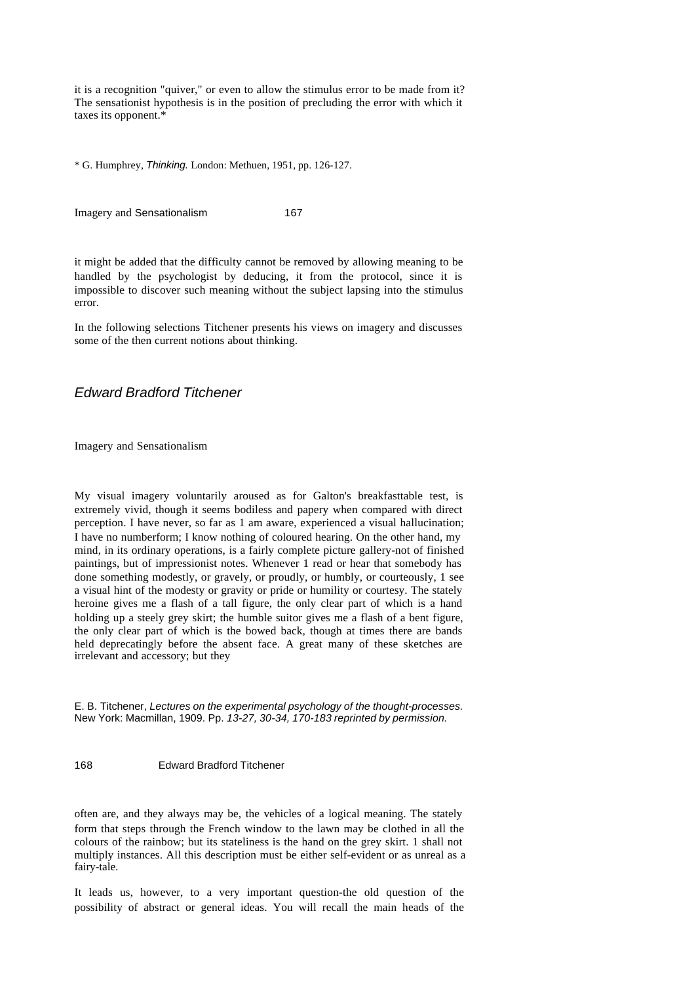it is a recognition "quiver," or even to allow the stimulus error to be made from it? The sensationist hypothesis is in the position of precluding the error with which it taxes its opponent.\*

\* G. Humphrey, *Thinking.* London: Methuen, 1951, pp. 126-127.

**Imagery and Sensationalism** 167

it might be added that the difficulty cannot be removed by allowing meaning to be handled by the psychologist by deducing, it from the protocol, since it is impossible to discover such meaning without the subject lapsing into the stimulus error.

In the following selections Titchener presents his views on imagery and discusses some of the then current notions about thinking.

# *Edward Bradford Titchener*

Imagery and Sensationalism

My visual imagery voluntarily aroused as for Galton's breakfasttable test, is extremely vivid, though it seems bodiless and papery when compared with direct perception. I have never, so far as 1 am aware, experienced a visual hallucination; I have no numberform; I know nothing of coloured hearing. On the other hand, my mind, in its ordinary operations, is a fairly complete picture gallery-not of finished paintings, but of impressionist notes. Whenever 1 read or hear that somebody has done something modestly, or gravely, or proudly, or humbly, or courteously, 1 see a visual hint of the modesty or gravity or pride or humility or courtesy. The stately heroine gives me a flash of a tall figure, the only clear part of which is a hand holding up a steely grey skirt; the humble suitor gives me a flash of a bent figure, the only clear part of which is the bowed back, though at times there are bands held deprecatingly before the absent face. A great many of these sketches are irrelevant and accessory; but they

E. B. Titchener, *Lectures on the experimental psychology of the thought-processes.* New York: Macmillan, 1909. Pp. *13-27, 30-34, 170-183 reprinted by permission.*

168 Edward Bradford Titchener

often are, and they always may be, the vehicles of a logical meaning. The stately form that steps through the French window to the lawn may be clothed in all the colours of the rainbow; but its stateliness is the hand on the grey skirt. 1 shall not multiply instances. All this description must be either self-evident or as unreal as a fairy-tale.

It leads us, however, to a very important question-the old question of the possibility of abstract or general ideas. You will recall the main heads of the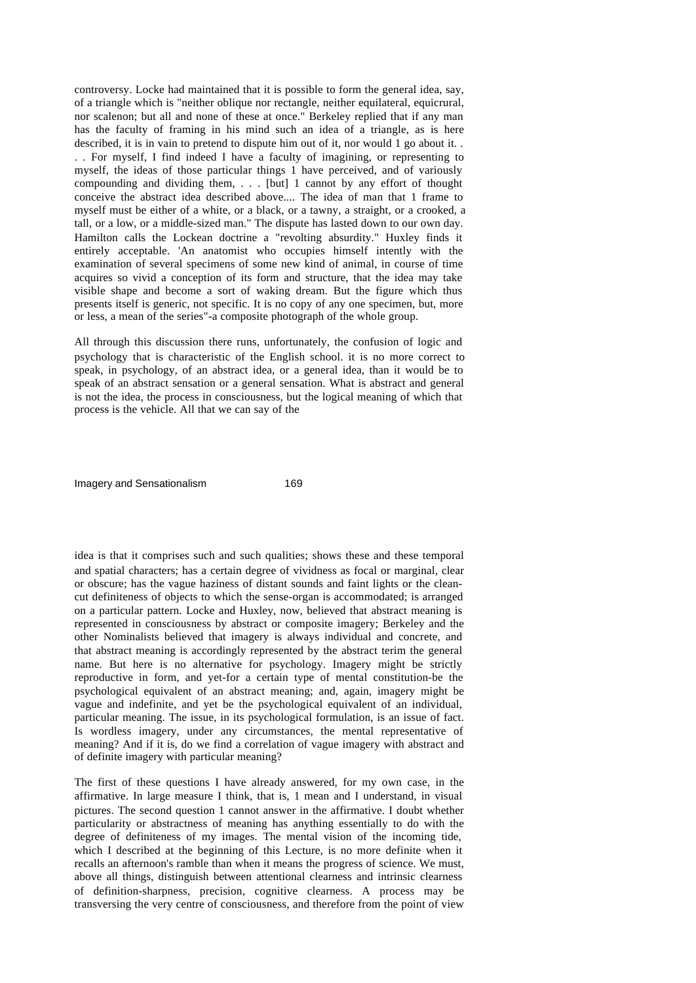controversy. Locke had maintained that it is possible to form the general idea, say, of a triangle which is "neither oblique nor rectangle, neither equilateral, equicrural, nor scalenon; but all and none of these at once." Berkeley replied that if any man has the faculty of framing in his mind such an idea of a triangle, as is here described, it is in vain to pretend to dispute him out of it, nor would 1 go about it. . . . For myself, I find indeed I have a faculty of imagining, or representing to myself, the ideas of those particular things 1 have perceived, and of variously compounding and dividing them, . . . [but] 1 cannot by any effort of thought conceive the abstract idea described above.... The idea of man that 1 frame to myself must be either of a white, or a black, or a tawny, a straight, or a crooked, a tall, or a low, or a middle-sized man." The dispute has lasted down to our own day. Hamilton calls the Lockean doctrine a "revolting absurdity." Huxley finds it entirely acceptable. 'An anatomist who occupies himself intently with the examination of several specimens of some new kind of animal, in course of time acquires so vivid a conception of its form and structure, that the idea may take visible shape and become a sort of waking dream. But the figure which thus presents itself is generic, not specific. It is no copy of any one specimen, but, more or less, a mean of the series"-a composite photograph of the whole group.

All through this discussion there runs, unfortunately, the confusion of logic and psychology that is characteristic of the English school. it is no more correct to speak, in psychology, of an abstract idea, or a general idea, than it would be to speak of an abstract sensation or a general sensation. What is abstract and general is not the idea, the process in consciousness, but the logical meaning of which that process is the vehicle. All that we can say of the

Imagery and Sensationalism 169

idea is that it comprises such and such qualities; shows these and these temporal and spatial characters; has a certain degree of vividness as focal or marginal, clear or obscure; has the vague haziness of distant sounds and faint lights or the cleancut definiteness of objects to which the sense-organ is accommodated; is arranged on a particular pattern. Locke and Huxley, now, believed that abstract meaning is represented in consciousness by abstract or composite imagery; Berkeley and the other Nominalists believed that imagery is always individual and concrete, and that abstract meaning is accordingly represented by the abstract terim the general name. But here is no alternative for psychology. Imagery might be strictly reproductive in form, and yet-for a certain type of mental constitution-be the psychological equivalent of an abstract meaning; and, again, imagery might be vague and indefinite, and yet be the psychological equivalent of an individual, particular meaning. The issue, in its psychological formulation, is an issue of fact. Is wordless imagery, under any circumstances, the mental representative of meaning? And if it is, do we find a correlation of vague imagery with abstract and of definite imagery with particular meaning?

The first of these questions I have already answered, for my own case, in the affirmative. In large measure I think, that is, 1 mean and I understand, in visual pictures. The second question 1 cannot answer in the affirmative. I doubt whether particularity or abstractness of meaning has anything essentially to do with the degree of definiteness of my images. The mental vision of the incoming tide, which I described at the beginning of this Lecture, is no more definite when it recalls an afternoon's ramble than when it means the progress of science. We must, above all things, distinguish between attentional clearness and intrinsic clearness of definition-sharpness, precision, cognitive clearness. A process may be transversing the very centre of consciousness, and therefore from the point of view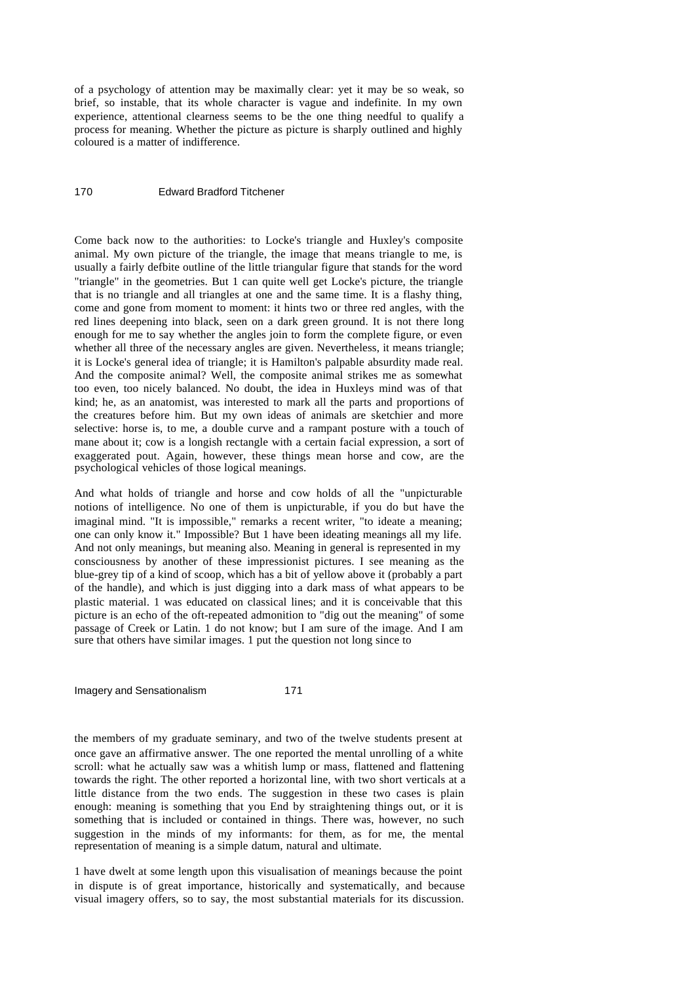of a psychology of attention may be maximally clear: yet it may be so weak, so brief, so instable, that its whole character is vague and indefinite. In my own experience, attentional clearness seems to be the one thing needful to qualify a process for meaning. Whether the picture as picture is sharply outlined and highly coloured is a matter of indifference.

# 170 Edward Bradford Titchener

Come back now to the authorities: to Locke's triangle and Huxley's composite animal. My own picture of the triangle, the image that means triangle to me, is usually a fairly defbite outline of the little triangular figure that stands for the word "triangle" in the geometries. But 1 can quite well get Locke's picture, the triangle that is no triangle and all triangles at one and the same time. It is a flashy thing, come and gone from moment to moment: it hints two or three red angles, with the red lines deepening into black, seen on a dark green ground. It is not there long enough for me to say whether the angles join to form the complete figure, or even whether all three of the necessary angles are given. Nevertheless, it means triangle; it is Locke's general idea of triangle; it is Hamilton's palpable absurdity made real. And the composite animal? Well, the composite animal strikes me as somewhat too even, too nicely balanced. No doubt, the idea in Huxleys mind was of that kind; he, as an anatomist, was interested to mark all the parts and proportions of the creatures before him. But my own ideas of animals are sketchier and more selective: horse is, to me, a double curve and a rampant posture with a touch of mane about it; cow is a longish rectangle with a certain facial expression, a sort of exaggerated pout. Again, however, these things mean horse and cow, are the psychological vehicles of those logical meanings.

And what holds of triangle and horse and cow holds of all the "unpicturable notions of intelligence. No one of them is unpicturable, if you do but have the imaginal mind. "It is impossible," remarks a recent writer, "to ideate a meaning; one can only know it." Impossible? But 1 have been ideating meanings all my life. And not only meanings, but meaning also. Meaning in general is represented in my consciousness by another of these impressionist pictures. I see meaning as the blue-grey tip of a kind of scoop, which has a bit of yellow above it (probably a part of the handle), and which is just digging into a dark mass of what appears to be plastic material. 1 was educated on classical lines; and it is conceivable that this picture is an echo of the oft-repeated admonition to "dig out the meaning" of some passage of Creek or Latin. 1 do not know; but I am sure of the image. And I am sure that others have similar images. 1 put the question not long since to

#### Imagery and Sensationalism 171

the members of my graduate seminary, and two of the twelve students present at once gave an affirmative answer. The one reported the mental unrolling of a white scroll: what he actually saw was a whitish lump or mass, flattened and flattening towards the right. The other reported a horizontal line, with two short verticals at a little distance from the two ends. The suggestion in these two cases is plain enough: meaning is something that you End by straightening things out, or it is something that is included or contained in things. There was, however, no such suggestion in the minds of my informants: for them, as for me, the mental representation of meaning is a simple datum, natural and ultimate.

1 have dwelt at some length upon this visualisation of meanings because the point in dispute is of great importance, historically and systematically, and because visual imagery offers, so to say, the most substantial materials for its discussion.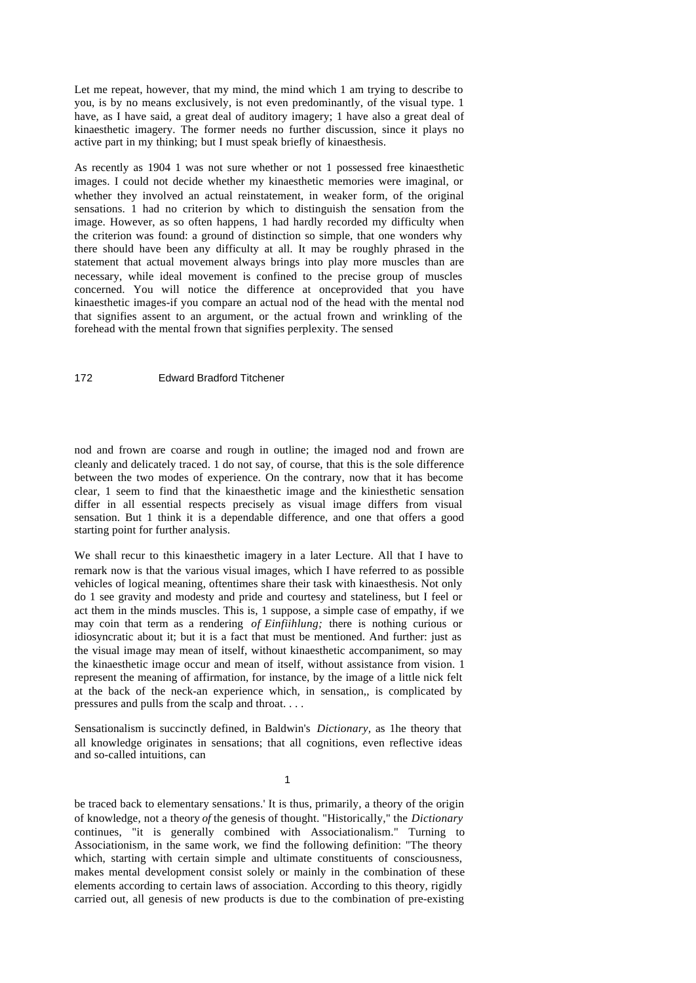Let me repeat, however, that my mind, the mind which 1 am trying to describe to you, is by no means exclusively, is not even predominantly, of the visual type. 1 have, as I have said, a great deal of auditory imagery; 1 have also a great deal of kinaesthetic imagery. The former needs no further discussion, since it plays no active part in my thinking; but I must speak briefly of kinaesthesis.

As recently as 1904 1 was not sure whether or not 1 possessed free kinaesthetic images. I could not decide whether my kinaesthetic memories were imaginal, or whether they involved an actual reinstatement, in weaker form, of the original sensations. 1 had no criterion by which to distinguish the sensation from the image. However, as so often happens, 1 had hardly recorded my difficulty when the criterion was found: a ground of distinction so simple, that one wonders why there should have been any difficulty at all. It may be roughly phrased in the statement that actual movement always brings into play more muscles than are necessary, while ideal movement is confined to the precise group of muscles concerned. You will notice the difference at onceprovided that you have kinaesthetic images-if you compare an actual nod of the head with the mental nod that signifies assent to an argument, or the actual frown and wrinkling of the forehead with the mental frown that signifies perplexity. The sensed

# 172 Edward Bradford Titchener

nod and frown are coarse and rough in outline; the imaged nod and frown are cleanly and delicately traced. 1 do not say, of course, that this is the sole difference between the two modes of experience. On the contrary, now that it has become clear, 1 seem to find that the kinaesthetic image and the kiniesthetic sensation differ in all essential respects precisely as visual image differs from visual sensation. But 1 think it is a dependable difference, and one that offers a good starting point for further analysis.

We shall recur to this kinaesthetic imagery in a later Lecture. All that I have to remark now is that the various visual images, which I have referred to as possible vehicles of logical meaning, oftentimes share their task with kinaesthesis. Not only do 1 see gravity and modesty and pride and courtesy and stateliness, but I feel or act them in the minds muscles. This is, 1 suppose, a simple case of empathy, if we may coin that term as a rendering *of Einfiihlung;* there is nothing curious or idiosyncratic about it; but it is a fact that must be mentioned. And further: just as the visual image may mean of itself, without kinaesthetic accompaniment, so may the kinaesthetic image occur and mean of itself, without assistance from vision. 1 represent the meaning of affirmation, for instance, by the image of a little nick felt at the back of the neck-an experience which, in sensation,, is complicated by pressures and pulls from the scalp and throat. . . .

Sensationalism is succinctly defined, in Baldwin's *Dictionary,* as 1he theory that all knowledge originates in sensations; that all cognitions, even reflective ideas and so-called intuitions, can

1

be traced back to elementary sensations.' It is thus, primarily, a theory of the origin of knowledge, not a theory *of* the genesis of thought. "Historically," the *Dictionary* continues, "it is generally combined with Associationalism." Turning to Associationism, in the same work, we find the following definition: "The theory which, starting with certain simple and ultimate constituents of consciousness, makes mental development consist solely or mainly in the combination of these elements according to certain laws of association. According to this theory, rigidly carried out, all genesis of new products is due to the combination of pre-existing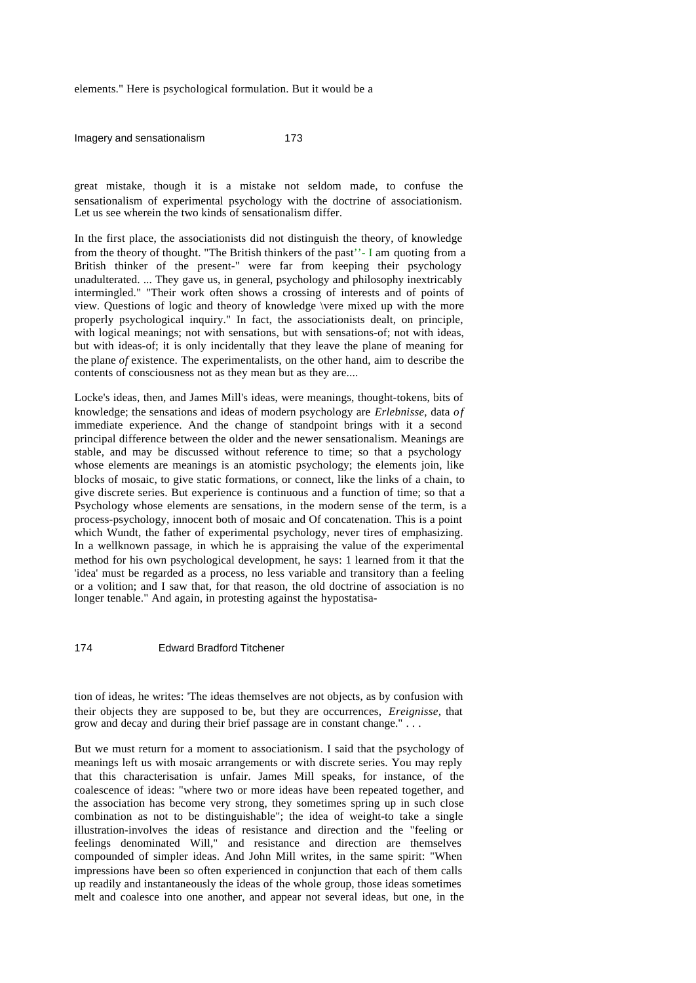elements." Here is psychological formulation. But it would be a

# Imagery and sensationalism 173

great mistake, though it is a mistake not seldom made, to confuse the sensationalism of experimental psychology with the doctrine of associationism. Let us see wherein the two kinds of sensationalism differ.

In the first place, the associationists did not distinguish the theory, of knowledge from the theory of thought. "The British thinkers of the past''- I am quoting from a British thinker of the present-" were far from keeping their psychology unadulterated. ... They gave us, in general, psychology and philosophy inextricably intermingled." "Their work often shows a crossing of interests and of points of view. Questions of logic and theory of knowledge \vere mixed up with the more properly psychological inquiry." In fact, the associationists dealt, on principle, with logical meanings; not with sensations, but with sensations-of; not with ideas, but with ideas-of; it is only incidentally that they leave the plane of meaning for the plane *of* existence. The experimentalists, on the other hand, aim to describe the contents of consciousness not as they mean but as they are....

Locke's ideas, then, and James Mill's ideas, were meanings, thought-tokens, bits of knowledge; the sensations and ideas of modern psychology are *Erlebnisse,* data *of* immediate experience. And the change of standpoint brings with it a second principal difference between the older and the newer sensationalism. Meanings are stable, and may be discussed without reference to time; so that a psychology whose elements are meanings is an atomistic psychology; the elements join, like blocks of mosaic, to give static formations, or connect, like the links of a chain, to give discrete series. But experience is continuous and a function of time; so that a Psychology whose elements are sensations, in the modern sense of the term, is a process-psychology, innocent both of mosaic and Of concatenation. This is a point which Wundt, the father of experimental psychology, never tires of emphasizing. In a wellknown passage, in which he is appraising the value of the experimental method for his own psychological development, he says: 1 learned from it that the 'idea' must be regarded as a process, no less variable and transitory than a feeling or a volition; and I saw that, for that reason, the old doctrine of association is no longer tenable." And again, in protesting against the hypostatisa-

# 174 Edward Bradford Titchener

tion of ideas, he writes: 'The ideas themselves are not objects, as by confusion with their objects they are supposed to be, but they are occurrences, *Ereignisse,* that grow and decay and during their brief passage are in constant change." . . .

But we must return for a moment to associationism. I said that the psychology of meanings left us with mosaic arrangements or with discrete series. You may reply that this characterisation is unfair. James Mill speaks, for instance, of the coalescence of ideas: "where two or more ideas have been repeated together, and the association has become very strong, they sometimes spring up in such close combination as not to be distinguishable"; the idea of weight-to take a single illustration-involves the ideas of resistance and direction and the "feeling or feelings denominated Will," and resistance and direction are themselves compounded of simpler ideas. And John Mill writes, in the same spirit: "When impressions have been so often experienced in conjunction that each of them calls up readily and instantaneously the ideas of the whole group, those ideas sometimes melt and coalesce into one another, and appear not several ideas, but one, in the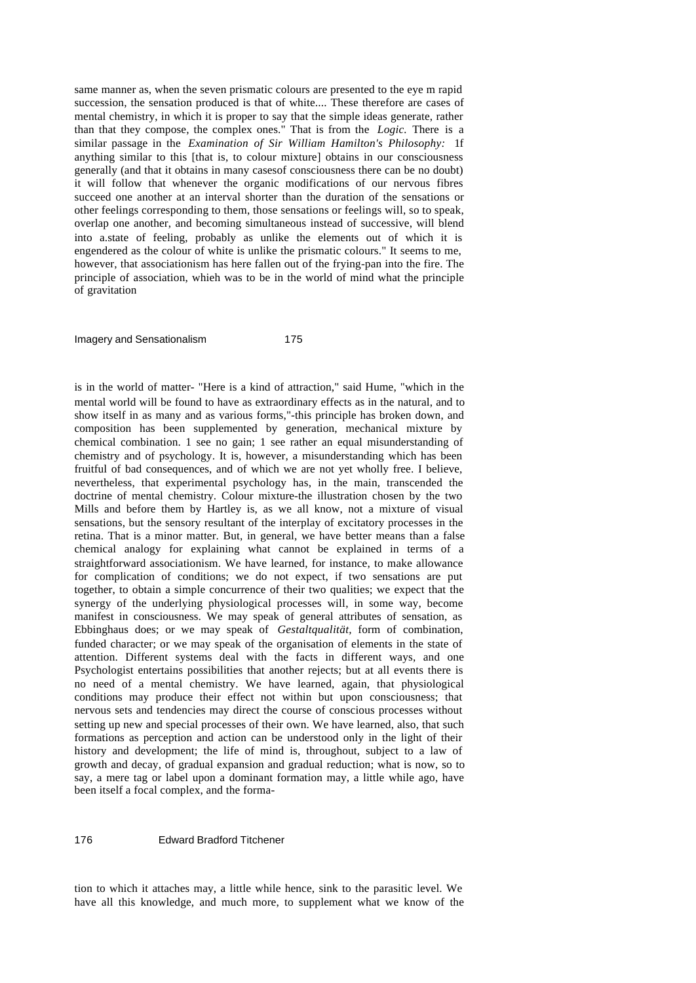same manner as, when the seven prismatic colours are presented to the eye m rapid succession, the sensation produced is that of white.... These therefore are cases of mental chemistry, in which it is proper to say that the simple ideas generate, rather than that they compose, the complex ones." That is from the *Logic.* There is a similar passage in the *Examination of Sir William Hamilton's Philosophy:* 1f anything similar to this [that is, to colour mixture] obtains in our consciousness generally (and that it obtains in many casesof consciousness there can be no doubt) it will follow that whenever the organic modifications of our nervous fibres succeed one another at an interval shorter than the duration of the sensations or other feelings corresponding to them, those sensations or feelings will, so to speak, overlap one another, and becoming simultaneous instead of successive, will blend into a.state of feeling, probably as unlike the elements out of which it is engendered as the colour of white is unlike the prismatic colours." It seems to me, however, that associationism has here fallen out of the frying-pan into the fire. The principle of association, whieh was to be in the world of mind what the principle of gravitation

#### Imagery and Sensationalism 175

is in the world of matter- "Here is a kind of attraction," said Hume, "which in the mental world will be found to have as extraordinary effects as in the natural, and to show itself in as many and as various forms,"-this principle has broken down, and composition has been supplemented by generation, mechanical mixture by chemical combination. 1 see no gain; 1 see rather an equal misunderstanding of chemistry and of psychology. It is, however, a misunderstanding which has been fruitful of bad consequences, and of which we are not yet wholly free. I believe, nevertheless, that experimental psychology has, in the main, transcended the doctrine of mental chemistry. Colour mixture-the illustration chosen by the two Mills and before them by Hartley is, as we all know, not a mixture of visual sensations, but the sensory resultant of the interplay of excitatory processes in the retina. That is a minor matter. But, in general, we have better means than a false chemical analogy for explaining what cannot be explained in terms of a straightforward associationism. We have learned, for instance, to make allowance for complication of conditions; we do not expect, if two sensations are put together, to obtain a simple concurrence of their two qualities; we expect that the synergy of the underlying physiological processes will, in some way, become manifest in consciousness. We may speak of general attributes of sensation, as Ebbinghaus does; or we may speak of *Gestaltqualität,* form of combination, funded character; or we may speak of the organisation of elements in the state of attention. Different systems deal with the facts in different ways, and one Psychologist entertains possibilities that another rejects; but at all events there is no need of a mental chemistry. We have learned, again, that physiological conditions may produce their effect not within but upon consciousness; that nervous sets and tendencies may direct the course of conscious processes without setting up new and special processes of their own. We have learned, also, that such formations as perception and action can be understood only in the light of their history and development; the life of mind is, throughout, subject to a law of growth and decay, of gradual expansion and gradual reduction; what is now, so to say, a mere tag or label upon a dominant formation may, a little while ago, have been itself a focal complex, and the forma-

# 176 Edward Bradford Titchener

tion to which it attaches may, a little while hence, sink to the parasitic level. We have all this knowledge, and much more, to supplement what we know of the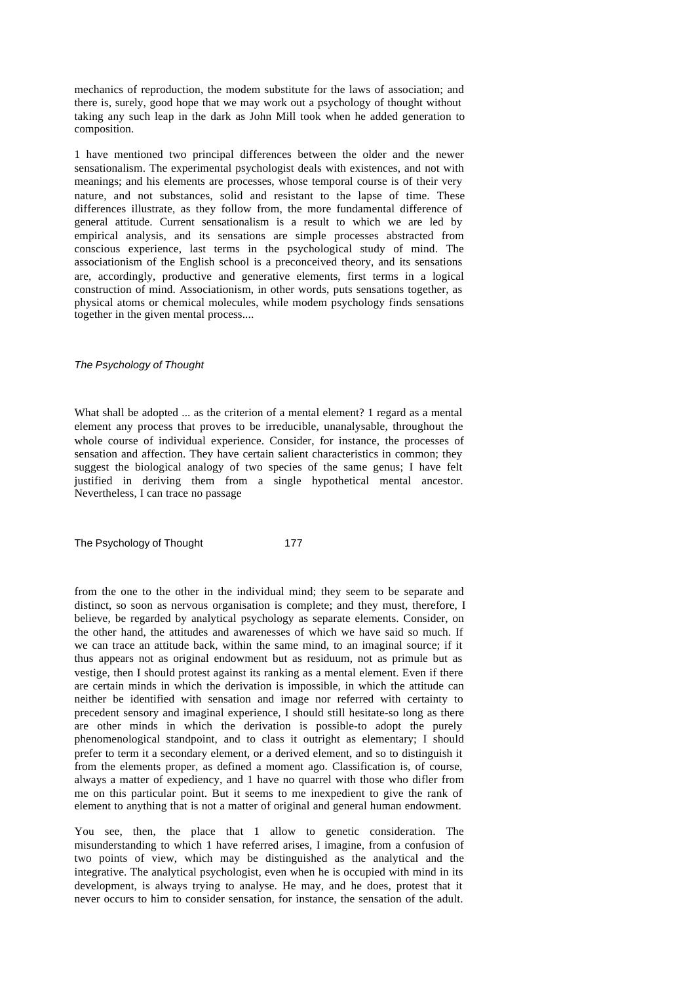mechanics of reproduction, the modem substitute for the laws of association; and there is, surely, good hope that we may work out a psychology of thought without taking any such leap in the dark as John Mill took when he added generation to composition.

1 have mentioned two principal differences between the older and the newer sensationalism. The experimental psychologist deals with existences, and not with meanings; and his elements are processes, whose temporal course is of their very nature, and not substances, solid and resistant to the lapse of time. These differences illustrate, as they follow from, the more fundamental difference of general attitude. Current sensationalism is a result to which we are led by empirical analysis, and its sensations are simple processes abstracted from conscious experience, last terms in the psychological study of mind. The associationism of the English school is a preconceived theory, and its sensations are, accordingly, productive and generative elements, first terms in a logical construction of mind. Associationism, in other words, puts sensations together, as physical atoms or chemical molecules, while modem psychology finds sensations together in the given mental process....

# *The Psychology of Thought*

What shall be adopted ... as the criterion of a mental element? 1 regard as a mental element any process that proves to be irreducible, unanalysable, throughout the whole course of individual experience. Consider, for instance, the processes of sensation and affection. They have certain salient characteristics in common; they suggest the biological analogy of two species of the same genus; I have felt justified in deriving them from a single hypothetical mental ancestor. Nevertheless, I can trace no passage

The Psychology of Thought 177

from the one to the other in the individual mind; they seem to be separate and distinct, so soon as nervous organisation is complete; and they must, therefore, I believe, be regarded by analytical psychology as separate elements. Consider, on the other hand, the attitudes and awarenesses of which we have said so much. If we can trace an attitude back, within the same mind, to an imaginal source; if it thus appears not as original endowment but as residuum, not as primule but as vestige, then I should protest against its ranking as a mental element. Even if there are certain minds in which the derivation is impossible, in which the attitude can neither be identified with sensation and image nor referred with certainty to precedent sensory and imaginal experience, I should still hesitate-so long as there are other minds in which the derivation is possible-to adopt the purely phenomenological standpoint, and to class it outright as elementary; I should prefer to term it a secondary element, or a derived element, and so to distinguish it from the elements proper, as defined a moment ago. Classification is, of course, always a matter of expediency, and 1 have no quarrel with those who difler from me on this particular point. But it seems to me inexpedient to give the rank of element to anything that is not a matter of original and general human endowment.

You see, then, the place that 1 allow to genetic consideration. The misunderstanding to which 1 have referred arises, I imagine, from a confusion of two points of view, which may be distinguished as the analytical and the integrative. The analytical psychologist, even when he is occupied with mind in its development, is always trying to analyse. He may, and he does, protest that it never occurs to him to consider sensation, for instance, the sensation of the adult.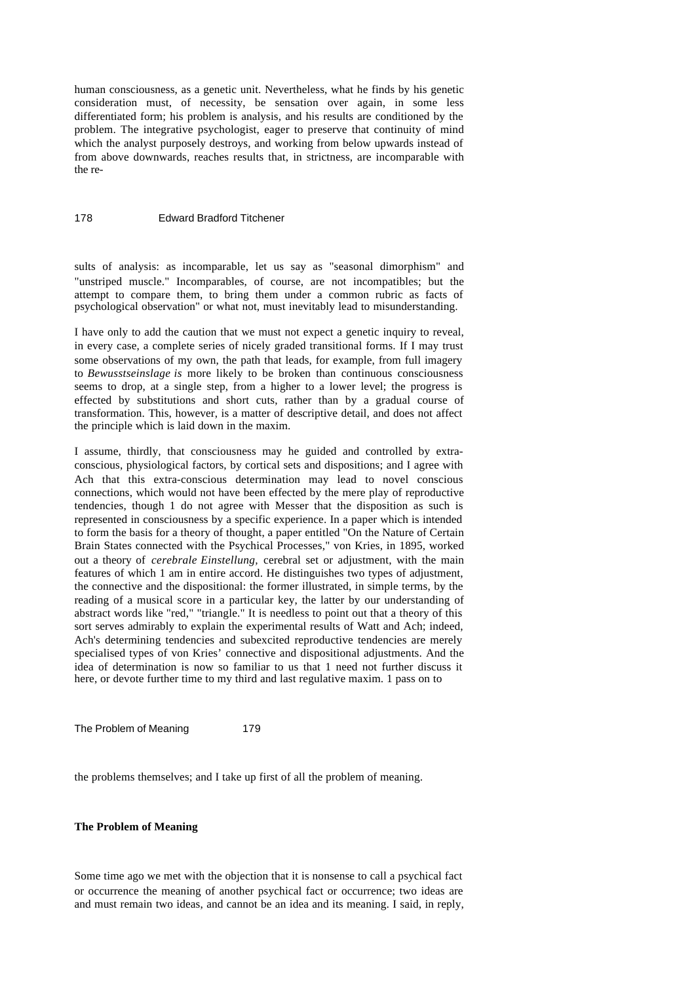human consciousness, as a genetic unit. Nevertheless, what he finds by his genetic consideration must, of necessity, be sensation over again, in some less differentiated form; his problem is analysis, and his results are conditioned by the problem. The integrative psychologist, eager to preserve that continuity of mind which the analyst purposely destroys, and working from below upwards instead of from above downwards, reaches results that, in strictness, are incomparable with the re-

# 178 Edward Bradford Titchener

sults of analysis: as incomparable, let us say as "seasonal dimorphism" and "unstriped muscle." Incomparables, of course, are not incompatibles; but the attempt to compare them, to bring them under a common rubric as facts of psychological observation" or what not, must inevitably lead to misunderstanding.

I have only to add the caution that we must not expect a genetic inquiry to reveal, in every case, a complete series of nicely graded transitional forms. If I may trust some observations of my own, the path that leads, for example, from full imagery to *Bewusstseinslage is* more likely to be broken than continuous consciousness seems to drop, at a single step, from a higher to a lower level; the progress is effected by substitutions and short cuts, rather than by a gradual course of transformation. This, however, is a matter of descriptive detail, and does not affect the principle which is laid down in the maxim.

I assume, thirdly, that consciousness may he guided and controlled by extraconscious, physiological factors, by cortical sets and dispositions; and I agree with Ach that this extra-conscious determination may lead to novel conscious connections, which would not have been effected by the mere play of reproductive tendencies, though 1 do not agree with Messer that the disposition as such is represented in consciousness by a specific experience. In a paper which is intended to form the basis for a theory of thought, a paper entitled "On the Nature of Certain Brain States connected with the Psychical Processes," von Kries, in 1895, worked out a theory of *cerebrale Einstellung,* cerebral set or adjustment, with the main features of which 1 am in entire accord. He distinguishes two types of adjustment, the connective and the dispositional: the former illustrated, in simple terms, by the reading of a musical score in a particular key, the latter by our understanding of abstract words like "red," "triangle." It is needless to point out that a theory of this sort serves admirably to explain the experimental results of Watt and Ach; indeed, Ach's determining tendencies and subexcited reproductive tendencies are merely specialised types of von Kries' connective and dispositional adjustments. And the idea of determination is now so familiar to us that 1 need not further discuss it here, or devote further time to my third and last regulative maxim. 1 pass on to

The Problem of Meaning 179

the problems themselves; and I take up first of all the problem of meaning.

# **The Problem of Meaning**

Some time ago we met with the objection that it is nonsense to call a psychical fact or occurrence the meaning of another psychical fact or occurrence; two ideas are and must remain two ideas, and cannot be an idea and its meaning. I said, in reply,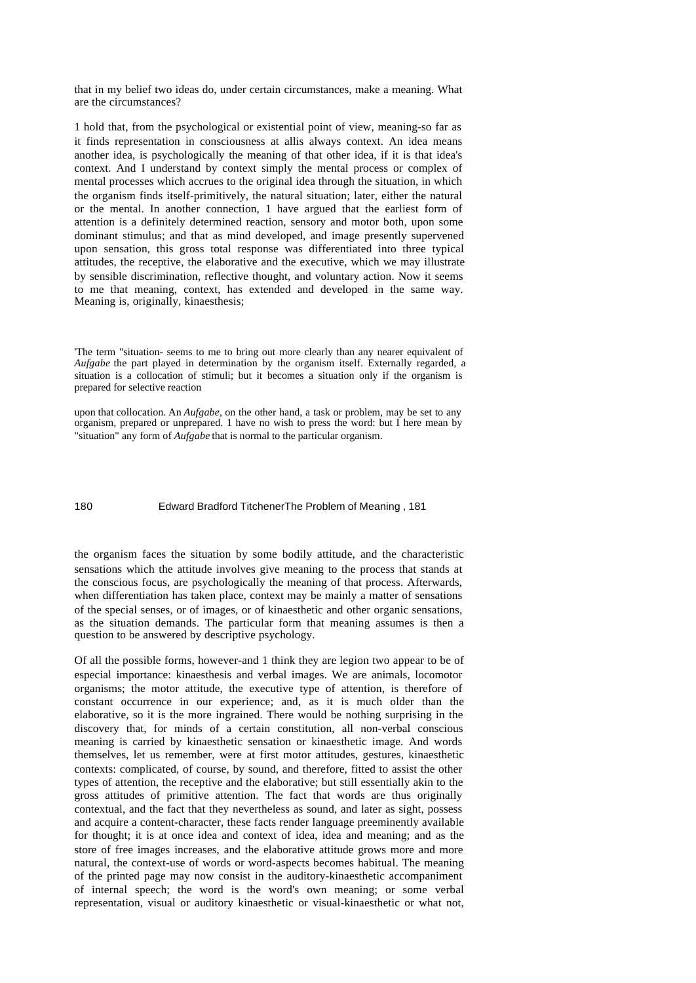that in my belief two ideas do, under certain circumstances, make a meaning. What are the circumstances?

1 hold that, from the psychological or existential point of view, meaning-so far as it finds representation in consciousness at allis always context. An idea means another idea, is psychologically the meaning of that other idea, if it is that idea's context. And I understand by context simply the mental process or complex of mental processes which accrues to the original idea through the situation, in which the organism finds itself-primitively, the natural situation; later, either the natural or the mental. In another connection, 1 have argued that the earliest form of attention is a definitely determined reaction, sensory and motor both, upon some dominant stimulus; and that as mind developed, and image presently supervened upon sensation, this gross total response was differentiated into three typical attitudes, the receptive, the elaborative and the executive, which we may illustrate by sensible discrimination, reflective thought, and voluntary action. Now it seems to me that meaning, context, has extended and developed in the same way. Meaning is, originally, kinaesthesis;

'The term "situation- seems to me to bring out more clearly than any nearer equivalent of *Aufgabe* the part played in determination by the organism itself. Externally regarded, a situation is a collocation of stimuli; but it becomes a situation only if the organism is prepared for selective reaction

upon that collocation. An *Aufgabe,* on the other hand, a task or problem, may be set to any organism, prepared or unprepared. 1 have no wish to press the word: but I here mean by "situation" any form of *Aufgabe* that is normal to the particular organism.

### 180 Edward Bradford TitchenerThe Problem of Meaning , 181

the organism faces the situation by some bodily attitude, and the characteristic sensations which the attitude involves give meaning to the process that stands at the conscious focus, are psychologically the meaning of that process. Afterwards, when differentiation has taken place, context may be mainly a matter of sensations of the special senses, or of images, or of kinaesthetic and other organic sensations, as the situation demands. The particular form that meaning assumes is then a question to be answered by descriptive psychology.

Of all the possible forms, however-and 1 think they are legion two appear to be of especial importance: kinaesthesis and verbal images. We are animals, locomotor organisms; the motor attitude, the executive type of attention, is therefore of constant occurrence in our experience; and, as it is much older than the elaborative, so it is the more ingrained. There would be nothing surprising in the discovery that, for minds of a certain constitution, all non-verbal conscious meaning is carried by kinaesthetic sensation or kinaesthetic image. And words themselves, let us remember, were at first motor attitudes, gestures, kinaesthetic contexts: complicated, of course, by sound, and therefore, fitted to assist the other types of attention, the receptive and the elaborative; but still essentially akin to the gross attitudes of primitive attention. The fact that words are thus originally contextual, and the fact that they nevertheless as sound, and later as sight, possess and acquire a content-character, these facts render language preeminently available for thought; it is at once idea and context of idea, idea and meaning; and as the store of free images increases, and the elaborative attitude grows more and more natural, the context-use of words or word-aspects becomes habitual. The meaning of the printed page may now consist in the auditory-kinaesthetic accompaniment of internal speech; the word is the word's own meaning; or some verbal representation, visual or auditory kinaesthetic or visual-kinaesthetic or what not,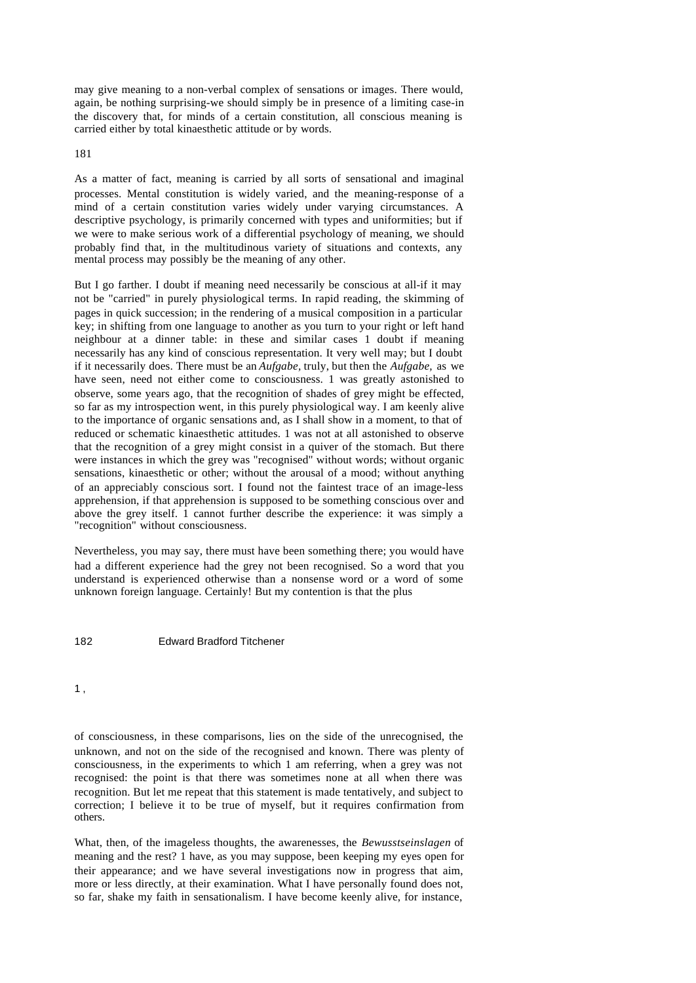may give meaning to a non-verbal complex of sensations or images. There would, again, be nothing surprising-we should simply be in presence of a limiting case-in the discovery that, for minds of a certain constitution, all conscious meaning is carried either by total kinaesthetic attitude or by words.

# 181

As a matter of fact, meaning is carried by all sorts of sensational and imaginal processes. Mental constitution is widely varied, and the meaning-response of a mind of a certain constitution varies widely under varying circumstances. A descriptive psychology, is primarily concerned with types and uniformities; but if we were to make serious work of a differential psychology of meaning, we should probably find that, in the multitudinous variety of situations and contexts, any mental process may possibly be the meaning of any other.

But I go farther. I doubt if meaning need necessarily be conscious at all-if it may not be "carried" in purely physiological terms. In rapid reading, the skimming of pages in quick succession; in the rendering of a musical composition in a particular key; in shifting from one language to another as you turn to your right or left hand neighbour at a dinner table: in these and similar cases 1 doubt if meaning necessarily has any kind of conscious representation. It very well may; but I doubt if it necessarily does. There must be an *Aufgabe,* truly, but then the *Aufgabe,* as we have seen, need not either come to consciousness. 1 was greatly astonished to observe, some years ago, that the recognition of shades of grey might be effected, so far as my introspection went, in this purely physiological way. I am keenly alive to the importance of organic sensations and, as I shall show in a moment, to that of reduced or schematic kinaesthetic attitudes. 1 was not at all astonished to observe that the recognition of a grey might consist in a quiver of the stomach. But there were instances in which the grey was "recognised" without words; without organic sensations, kinaesthetic or other; without the arousal of a mood; without anything of an appreciably conscious sort. I found not the faintest trace of an image-less apprehension, if that apprehension is supposed to be something conscious over and above the grey itself. 1 cannot further describe the experience: it was simply a "recognition" without consciousness.

Nevertheless, you may say, there must have been something there; you would have had a different experience had the grey not been recognised. So a word that you understand is experienced otherwise than a nonsense word or a word of some unknown foreign language. Certainly! But my contention is that the plus

182 Edward Bradford Titchener

1 ,

of consciousness, in these comparisons, lies on the side of the unrecognised, the unknown, and not on the side of the recognised and known. There was plenty of consciousness, in the experiments to which 1 am referring, when a grey was not recognised: the point is that there was sometimes none at all when there was recognition. But let me repeat that this statement is made tentatively, and subject to correction; I believe it to be true of myself, but it requires confirmation from others.

What, then, of the imageless thoughts, the awarenesses, the *Bewusstseinslagen* of meaning and the rest? 1 have, as you may suppose, been keeping my eyes open for their appearance; and we have several investigations now in progress that aim, more or less directly, at their examination. What I have personally found does not, so far, shake my faith in sensationalism. I have become keenly alive, for instance,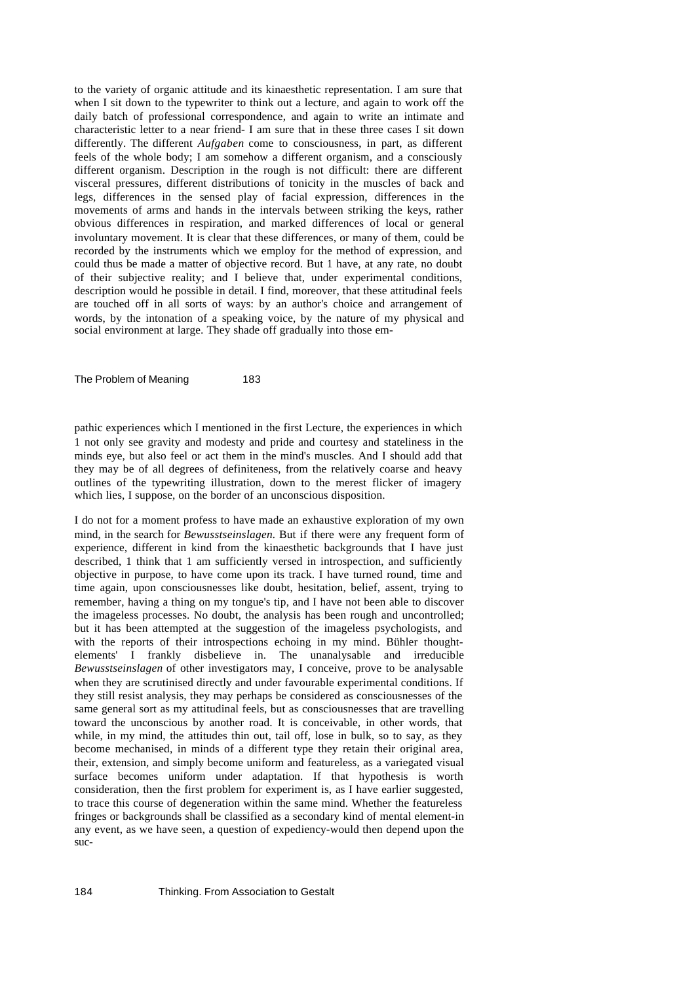to the variety of organic attitude and its kinaesthetic representation. I am sure that when I sit down to the typewriter to think out a lecture, and again to work off the daily batch of professional correspondence, and again to write an intimate and characteristic letter to a near friend- I am sure that in these three cases I sit down differently. The different *Aufgaben* come to consciousness, in part, as different feels of the whole body; I am somehow a different organism, and a consciously different organism. Description in the rough is not difficult: there are different visceral pressures, different distributions of tonicity in the muscles of back and legs, differences in the sensed play of facial expression, differences in the movements of arms and hands in the intervals between striking the keys, rather obvious differences in respiration, and marked differences of local or general involuntary movement. It is clear that these differences, or many of them, could be recorded by the instruments which we employ for the method of expression, and could thus be made a matter of objective record. But 1 have, at any rate, no doubt of their subjective reality; and I believe that, under experimental conditions, description would he possible in detail. I find, moreover, that these attitudinal feels are touched off in all sorts of ways: by an author's choice and arrangement of words, by the intonation of a speaking voice, by the nature of my physical and social environment at large. They shade off gradually into those em-

The Problem of Meaning 183

pathic experiences which I mentioned in the first Lecture, the experiences in which 1 not only see gravity and modesty and pride and courtesy and stateliness in the minds eye, but also feel or act them in the mind's muscles. And I should add that they may be of all degrees of definiteness, from the relatively coarse and heavy outlines of the typewriting illustration, down to the merest flicker of imagery which lies, I suppose, on the border of an unconscious disposition.

I do not for a moment profess to have made an exhaustive exploration of my own mind, in the search for *Bewusstseinslagen.* But if there were any frequent form of experience, different in kind from the kinaesthetic backgrounds that I have just described, 1 think that 1 am sufficiently versed in introspection, and sufficiently objective in purpose, to have come upon its track. I have turned round, time and time again, upon consciousnesses like doubt, hesitation, belief, assent, trying to remember, having a thing on my tongue's tip, and I have not been able to discover the imageless processes. No doubt, the analysis has been rough and uncontrolled; but it has been attempted at the suggestion of the imageless psychologists, and with the reports of their introspections echoing in my mind. Bühler thoughtelements' I frankly disbelieve in. The unanalysable and irreducible *Bewusstseinslagen* of other investigators may, I conceive, prove to be analysable when they are scrutinised directly and under favourable experimental conditions. If they still resist analysis, they may perhaps be considered as consciousnesses of the same general sort as my attitudinal feels, but as consciousnesses that are travelling toward the unconscious by another road. It is conceivable, in other words, that while, in my mind, the attitudes thin out, tail off, lose in bulk, so to say, as they become mechanised, in minds of a different type they retain their original area, their, extension, and simply become uniform and featureless, as a variegated visual surface becomes uniform under adaptation. If that hypothesis is worth consideration, then the first problem for experiment is, as I have earlier suggested, to trace this course of degeneration within the same mind. Whether the featureless fringes or backgrounds shall be classified as a secondary kind of mental element-in any event, as we have seen, a question of expediency-would then depend upon the suc